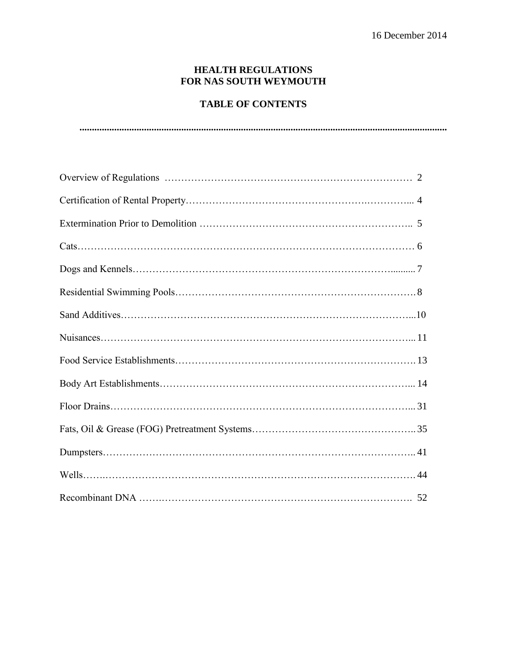## **HEALTH REGULATIONS FOR NAS SOUTH WEYMOUTH**

# **TABLE OF CONTENTS**

**....................................................................................................................................................**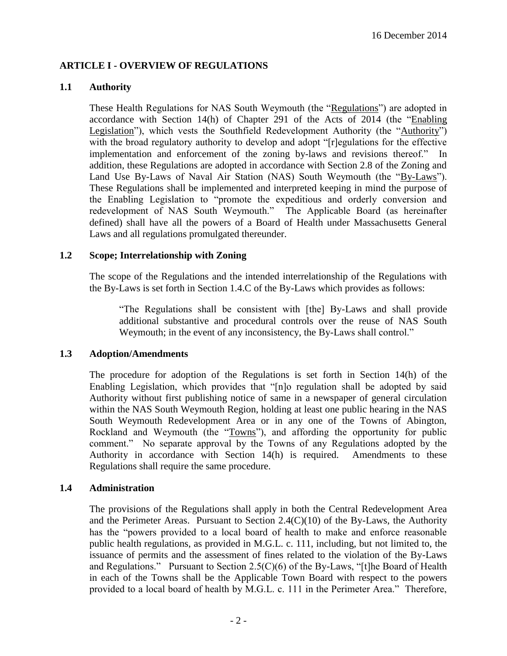## **ARTICLE I - OVERVIEW OF REGULATIONS**

## **1.1 Authority**

These Health Regulations for NAS South Weymouth (the "Regulations") are adopted in accordance with Section 14(h) of Chapter 291 of the Acts of 2014 (the "Enabling Legislation"), which vests the Southfield Redevelopment Authority (the "Authority") with the broad regulatory authority to develop and adopt "[r]egulations for the effective implementation and enforcement of the zoning by-laws and revisions thereof." In addition, these Regulations are adopted in accordance with Section 2.8 of the Zoning and Land Use By-Laws of Naval Air Station (NAS) South Weymouth (the "By-Laws"). These Regulations shall be implemented and interpreted keeping in mind the purpose of the Enabling Legislation to "promote the expeditious and orderly conversion and redevelopment of NAS South Weymouth." The Applicable Board (as hereinafter defined) shall have all the powers of a Board of Health under Massachusetts General Laws and all regulations promulgated thereunder.

### **1.2 Scope; Interrelationship with Zoning**

The scope of the Regulations and the intended interrelationship of the Regulations with the By-Laws is set forth in Section 1.4.C of the By-Laws which provides as follows:

"The Regulations shall be consistent with [the] By-Laws and shall provide additional substantive and procedural controls over the reuse of NAS South Weymouth; in the event of any inconsistency, the By-Laws shall control."

#### **1.3 Adoption/Amendments**

The procedure for adoption of the Regulations is set forth in Section 14(h) of the Enabling Legislation, which provides that "[n]o regulation shall be adopted by said Authority without first publishing notice of same in a newspaper of general circulation within the NAS South Weymouth Region, holding at least one public hearing in the NAS South Weymouth Redevelopment Area or in any one of the Towns of Abington, Rockland and Weymouth (the "Towns"), and affording the opportunity for public comment." No separate approval by the Towns of any Regulations adopted by the Authority in accordance with Section 14(h) is required. Amendments to these Regulations shall require the same procedure.

## **1.4 Administration**

The provisions of the Regulations shall apply in both the Central Redevelopment Area and the Perimeter Areas. Pursuant to Section 2.4(C)(10) of the By-Laws, the Authority has the "powers provided to a local board of health to make and enforce reasonable public health regulations, as provided in M.G.L. c. 111, including, but not limited to, the issuance of permits and the assessment of fines related to the violation of the By-Laws and Regulations." Pursuant to Section 2.5(C)(6) of the By-Laws, "[t]he Board of Health in each of the Towns shall be the Applicable Town Board with respect to the powers provided to a local board of health by M.G.L. c. 111 in the Perimeter Area." Therefore,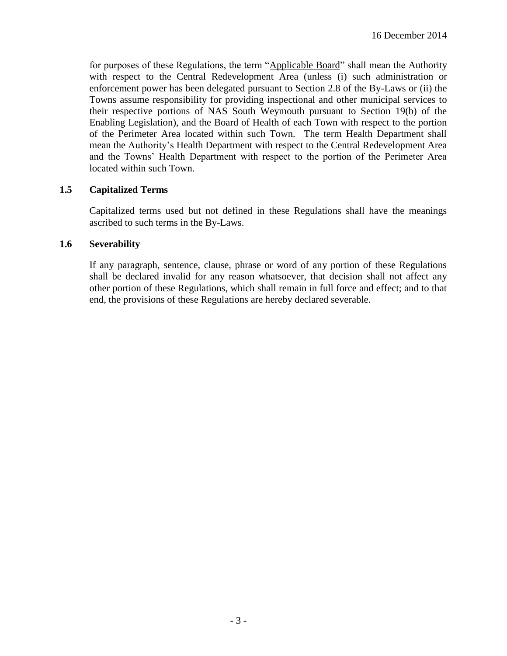for purposes of these Regulations, the term "Applicable Board" shall mean the Authority with respect to the Central Redevelopment Area (unless (i) such administration or enforcement power has been delegated pursuant to Section 2.8 of the By-Laws or (ii) the Towns assume responsibility for providing inspectional and other municipal services to their respective portions of NAS South Weymouth pursuant to Section 19(b) of the Enabling Legislation), and the Board of Health of each Town with respect to the portion of the Perimeter Area located within such Town. The term Health Department shall mean the Authority's Health Department with respect to the Central Redevelopment Area and the Towns' Health Department with respect to the portion of the Perimeter Area located within such Town.

## **1.5 Capitalized Terms**

Capitalized terms used but not defined in these Regulations shall have the meanings ascribed to such terms in the By-Laws.

### **1.6 Severability**

If any paragraph, sentence, clause, phrase or word of any portion of these Regulations shall be declared invalid for any reason whatsoever, that decision shall not affect any other portion of these Regulations, which shall remain in full force and effect; and to that end, the provisions of these Regulations are hereby declared severable.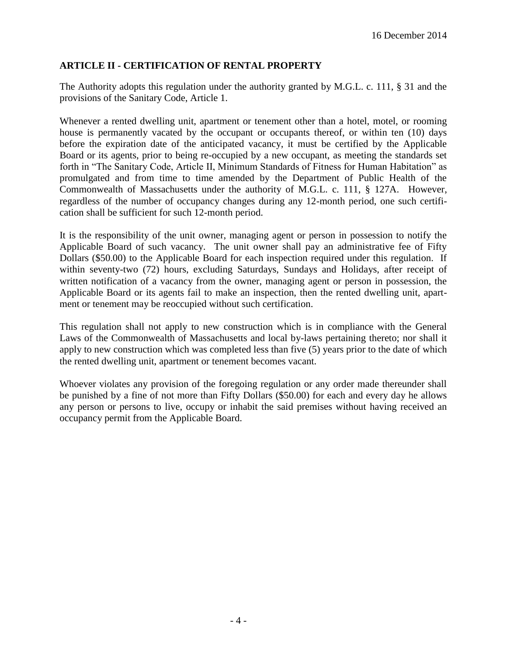# **ARTICLE II - CERTIFICATION OF RENTAL PROPERTY**

The Authority adopts this regulation under the authority granted by M.G.L. c. 111, § 31 and the provisions of the Sanitary Code, Article 1.

Whenever a rented dwelling unit, apartment or tenement other than a hotel, motel, or rooming house is permanently vacated by the occupant or occupants thereof, or within ten (10) days before the expiration date of the anticipated vacancy, it must be certified by the Applicable Board or its agents, prior to being re-occupied by a new occupant, as meeting the standards set forth in "The Sanitary Code, Article II, Minimum Standards of Fitness for Human Habitation" as promulgated and from time to time amended by the Department of Public Health of the Commonwealth of Massachusetts under the authority of M.G.L. c. 111, § 127A. However, regardless of the number of occupancy changes during any 12-month period, one such certification shall be sufficient for such 12-month period.

It is the responsibility of the unit owner, managing agent or person in possession to notify the Applicable Board of such vacancy. The unit owner shall pay an administrative fee of Fifty Dollars (\$50.00) to the Applicable Board for each inspection required under this regulation. If within seventy-two (72) hours, excluding Saturdays, Sundays and Holidays, after receipt of written notification of a vacancy from the owner, managing agent or person in possession, the Applicable Board or its agents fail to make an inspection, then the rented dwelling unit, apartment or tenement may be reoccupied without such certification.

This regulation shall not apply to new construction which is in compliance with the General Laws of the Commonwealth of Massachusetts and local by-laws pertaining thereto; nor shall it apply to new construction which was completed less than five (5) years prior to the date of which the rented dwelling unit, apartment or tenement becomes vacant.

Whoever violates any provision of the foregoing regulation or any order made thereunder shall be punished by a fine of not more than Fifty Dollars (\$50.00) for each and every day he allows any person or persons to live, occupy or inhabit the said premises without having received an occupancy permit from the Applicable Board.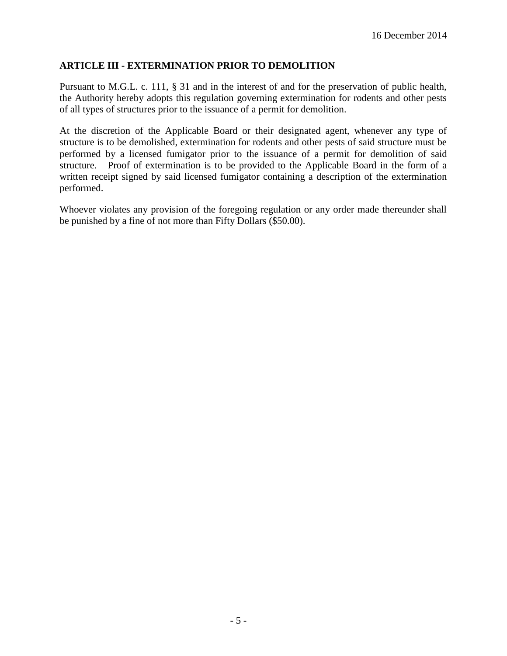## **ARTICLE III - EXTERMINATION PRIOR TO DEMOLITION**

Pursuant to M.G.L. c. 111, § 31 and in the interest of and for the preservation of public health, the Authority hereby adopts this regulation governing extermination for rodents and other pests of all types of structures prior to the issuance of a permit for demolition.

At the discretion of the Applicable Board or their designated agent, whenever any type of structure is to be demolished, extermination for rodents and other pests of said structure must be performed by a licensed fumigator prior to the issuance of a permit for demolition of said structure. Proof of extermination is to be provided to the Applicable Board in the form of a written receipt signed by said licensed fumigator containing a description of the extermination performed.

Whoever violates any provision of the foregoing regulation or any order made thereunder shall be punished by a fine of not more than Fifty Dollars (\$50.00).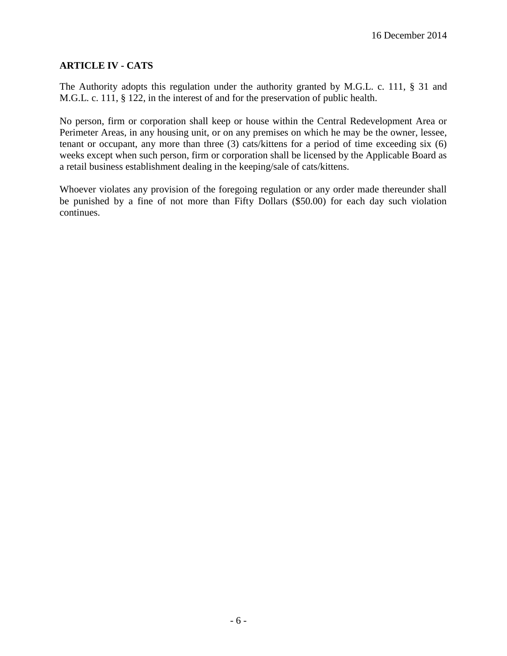## **ARTICLE IV - CATS**

The Authority adopts this regulation under the authority granted by M.G.L. c. 111, § 31 and M.G.L. c. 111, § 122, in the interest of and for the preservation of public health.

No person, firm or corporation shall keep or house within the Central Redevelopment Area or Perimeter Areas, in any housing unit, or on any premises on which he may be the owner, lessee, tenant or occupant, any more than three (3) cats/kittens for a period of time exceeding six (6) weeks except when such person, firm or corporation shall be licensed by the Applicable Board as a retail business establishment dealing in the keeping/sale of cats/kittens.

Whoever violates any provision of the foregoing regulation or any order made thereunder shall be punished by a fine of not more than Fifty Dollars (\$50.00) for each day such violation continues.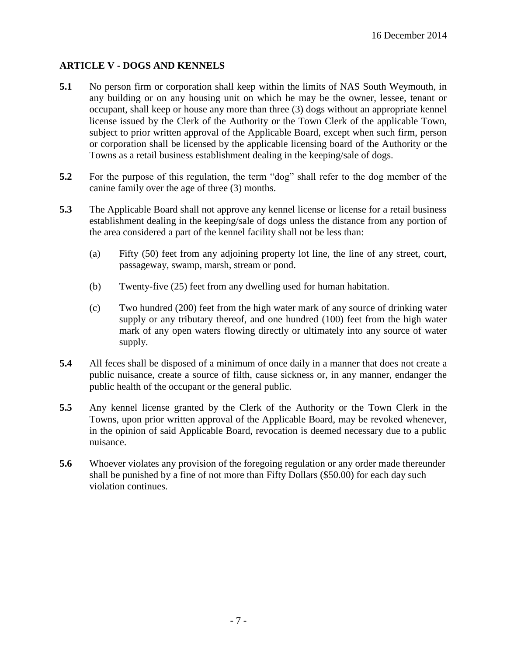# **ARTICLE V - DOGS AND KENNELS**

- **5.1** No person firm or corporation shall keep within the limits of NAS South Weymouth, in any building or on any housing unit on which he may be the owner, lessee, tenant or occupant, shall keep or house any more than three (3) dogs without an appropriate kennel license issued by the Clerk of the Authority or the Town Clerk of the applicable Town, subject to prior written approval of the Applicable Board, except when such firm, person or corporation shall be licensed by the applicable licensing board of the Authority or the Towns as a retail business establishment dealing in the keeping/sale of dogs.
- **5.2** For the purpose of this regulation, the term "dog" shall refer to the dog member of the canine family over the age of three (3) months.
- **5.3** The Applicable Board shall not approve any kennel license or license for a retail business establishment dealing in the keeping/sale of dogs unless the distance from any portion of the area considered a part of the kennel facility shall not be less than:
	- (a) Fifty (50) feet from any adjoining property lot line, the line of any street, court, passageway, swamp, marsh, stream or pond.
	- (b) Twenty-five (25) feet from any dwelling used for human habitation.
	- (c) Two hundred (200) feet from the high water mark of any source of drinking water supply or any tributary thereof, and one hundred (100) feet from the high water mark of any open waters flowing directly or ultimately into any source of water supply.
- **5.4** All feces shall be disposed of a minimum of once daily in a manner that does not create a public nuisance, create a source of filth, cause sickness or, in any manner, endanger the public health of the occupant or the general public.
- **5.5** Any kennel license granted by the Clerk of the Authority or the Town Clerk in the Towns, upon prior written approval of the Applicable Board, may be revoked whenever, in the opinion of said Applicable Board, revocation is deemed necessary due to a public nuisance.
- **5.6** Whoever violates any provision of the foregoing regulation or any order made thereunder shall be punished by a fine of not more than Fifty Dollars (\$50.00) for each day such violation continues.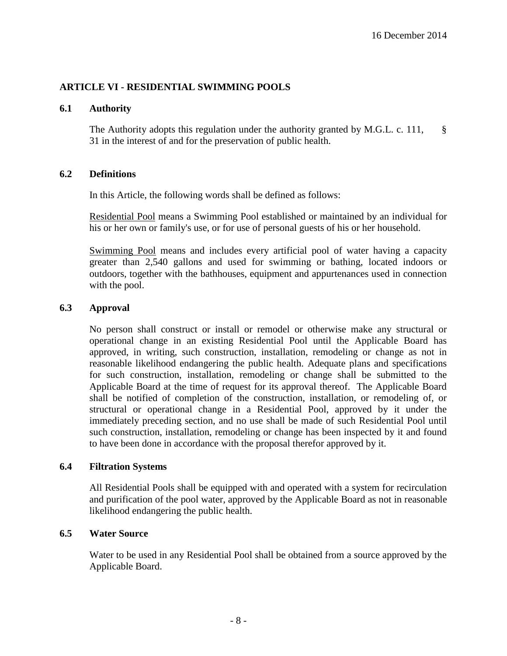## **ARTICLE VI - RESIDENTIAL SWIMMING POOLS**

#### **6.1 Authority**

The Authority adopts this regulation under the authority granted by M.G.L. c. 111, § 31 in the interest of and for the preservation of public health.

#### **6.2 Definitions**

In this Article, the following words shall be defined as follows:

Residential Pool means a Swimming Pool established or maintained by an individual for his or her own or family's use, or for use of personal guests of his or her household.

Swimming Pool means and includes every artificial pool of water having a capacity greater than 2,540 gallons and used for swimming or bathing, located indoors or outdoors, together with the bathhouses, equipment and appurtenances used in connection with the pool.

#### **6.3 Approval**

No person shall construct or install or remodel or otherwise make any structural or operational change in an existing Residential Pool until the Applicable Board has approved, in writing, such construction, installation, remodeling or change as not in reasonable likelihood endangering the public health. Adequate plans and specifications for such construction, installation, remodeling or change shall be submitted to the Applicable Board at the time of request for its approval thereof. The Applicable Board shall be notified of completion of the construction, installation, or remodeling of, or structural or operational change in a Residential Pool, approved by it under the immediately preceding section, and no use shall be made of such Residential Pool until such construction, installation, remodeling or change has been inspected by it and found to have been done in accordance with the proposal therefor approved by it.

#### **6.4 Filtration Systems**

All Residential Pools shall be equipped with and operated with a system for recirculation and purification of the pool water, approved by the Applicable Board as not in reasonable likelihood endangering the public health.

### **6.5 Water Source**

Water to be used in any Residential Pool shall be obtained from a source approved by the Applicable Board.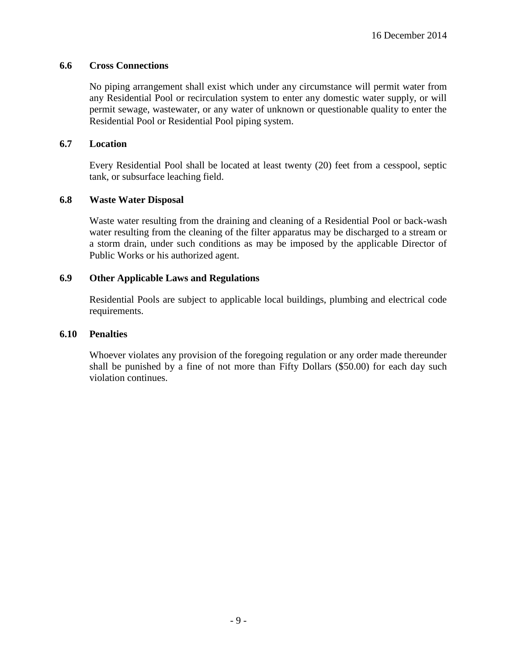## **6.6 Cross Connections**

No piping arrangement shall exist which under any circumstance will permit water from any Residential Pool or recirculation system to enter any domestic water supply, or will permit sewage, wastewater, or any water of unknown or questionable quality to enter the Residential Pool or Residential Pool piping system.

## **6.7 Location**

Every Residential Pool shall be located at least twenty (20) feet from a cesspool, septic tank, or subsurface leaching field.

### **6.8 Waste Water Disposal**

Waste water resulting from the draining and cleaning of a Residential Pool or back-wash water resulting from the cleaning of the filter apparatus may be discharged to a stream or a storm drain, under such conditions as may be imposed by the applicable Director of Public Works or his authorized agent.

## **6.9 Other Applicable Laws and Regulations**

Residential Pools are subject to applicable local buildings, plumbing and electrical code requirements.

#### **6.10 Penalties**

Whoever violates any provision of the foregoing regulation or any order made thereunder shall be punished by a fine of not more than Fifty Dollars (\$50.00) for each day such violation continues.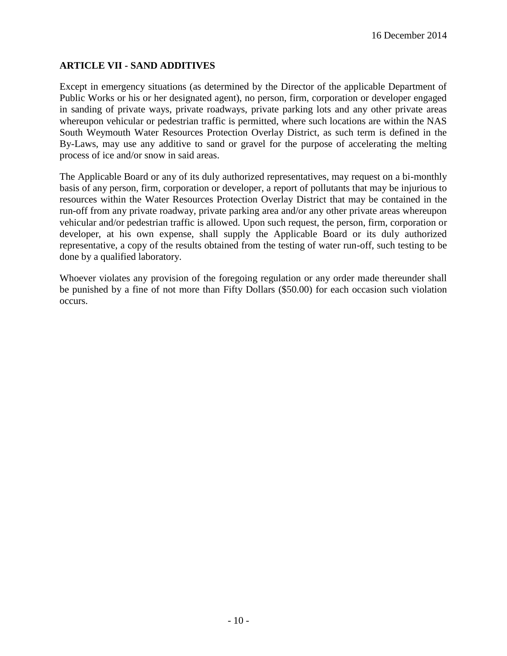# **ARTICLE VII - SAND ADDITIVES**

Except in emergency situations (as determined by the Director of the applicable Department of Public Works or his or her designated agent), no person, firm, corporation or developer engaged in sanding of private ways, private roadways, private parking lots and any other private areas whereupon vehicular or pedestrian traffic is permitted, where such locations are within the NAS South Weymouth Water Resources Protection Overlay District, as such term is defined in the By-Laws, may use any additive to sand or gravel for the purpose of accelerating the melting process of ice and/or snow in said areas.

The Applicable Board or any of its duly authorized representatives, may request on a bi-monthly basis of any person, firm, corporation or developer, a report of pollutants that may be injurious to resources within the Water Resources Protection Overlay District that may be contained in the run-off from any private roadway, private parking area and/or any other private areas whereupon vehicular and/or pedestrian traffic is allowed. Upon such request, the person, firm, corporation or developer, at his own expense, shall supply the Applicable Board or its duly authorized representative, a copy of the results obtained from the testing of water run-off, such testing to be done by a qualified laboratory.

Whoever violates any provision of the foregoing regulation or any order made thereunder shall be punished by a fine of not more than Fifty Dollars (\$50.00) for each occasion such violation occurs.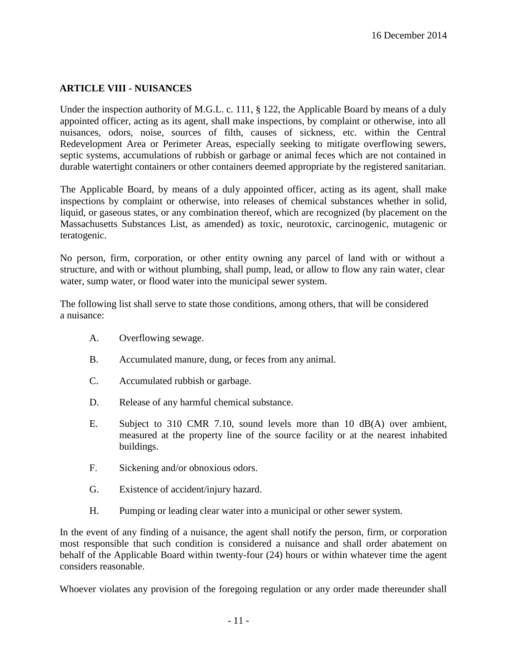## **ARTICLE VIII - NUISANCES**

Under the inspection authority of M.G.L. c. 111, § 122, the Applicable Board by means of a duly appointed officer, acting as its agent, shall make inspections, by complaint or otherwise, into all nuisances, odors, noise, sources of filth, causes of sickness, etc. within the Central Redevelopment Area or Perimeter Areas, especially seeking to mitigate overflowing sewers, septic systems, accumulations of rubbish or garbage or animal feces which are not contained in durable watertight containers or other containers deemed appropriate by the registered sanitarian.

The Applicable Board, by means of a duly appointed officer, acting as its agent, shall make inspections by complaint or otherwise, into releases of chemical substances whether in solid, liquid, or gaseous states, or any combination thereof, which are recognized (by placement on the Massachusetts Substances List, as amended) as toxic, neurotoxic, carcinogenic, mutagenic or teratogenic.

No person, firm, corporation, or other entity owning any parcel of land with or without a structure, and with or without plumbing, shall pump, lead, or allow to flow any rain water, clear water, sump water, or flood water into the municipal sewer system.

The following list shall serve to state those conditions, among others, that will be considered a nuisance:

- A. Overflowing sewage.
- B. Accumulated manure, dung, or feces from any animal.
- C. Accumulated rubbish or garbage.
- D. Release of any harmful chemical substance.
- E. Subject to 310 CMR 7.10, sound levels more than 10 dB(A) over ambient, measured at the property line of the source facility or at the nearest inhabited buildings.
- F. Sickening and/or obnoxious odors.
- G. Existence of accident/injury hazard.
- H. Pumping or leading clear water into a municipal or other sewer system.

In the event of any finding of a nuisance, the agent shall notify the person, firm, or corporation most responsible that such condition is considered a nuisance and shall order abatement on behalf of the Applicable Board within twenty-four (24) hours or within whatever time the agent considers reasonable.

Whoever violates any provision of the foregoing regulation or any order made thereunder shall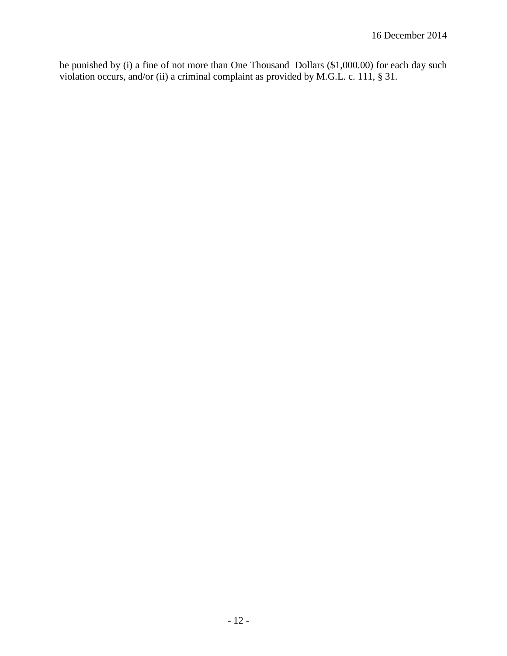be punished by (i) a fine of not more than One Thousand Dollars (\$1,000.00) for each day such violation occurs, and/or (ii) a criminal complaint as provided by M.G.L. c. 111, § 31.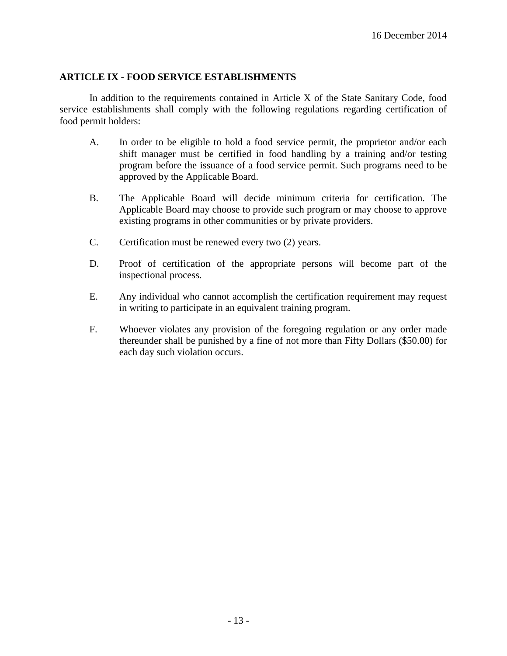### **ARTICLE IX - FOOD SERVICE ESTABLISHMENTS**

In addition to the requirements contained in Article X of the State Sanitary Code, food service establishments shall comply with the following regulations regarding certification of food permit holders:

- A. In order to be eligible to hold a food service permit, the proprietor and/or each shift manager must be certified in food handling by a training and/or testing program before the issuance of a food service permit. Such programs need to be approved by the Applicable Board.
- B. The Applicable Board will decide minimum criteria for certification. The Applicable Board may choose to provide such program or may choose to approve existing programs in other communities or by private providers.
- C. Certification must be renewed every two (2) years.
- D. Proof of certification of the appropriate persons will become part of the inspectional process.
- E. Any individual who cannot accomplish the certification requirement may request in writing to participate in an equivalent training program.
- F. Whoever violates any provision of the foregoing regulation or any order made thereunder shall be punished by a fine of not more than Fifty Dollars (\$50.00) for each day such violation occurs.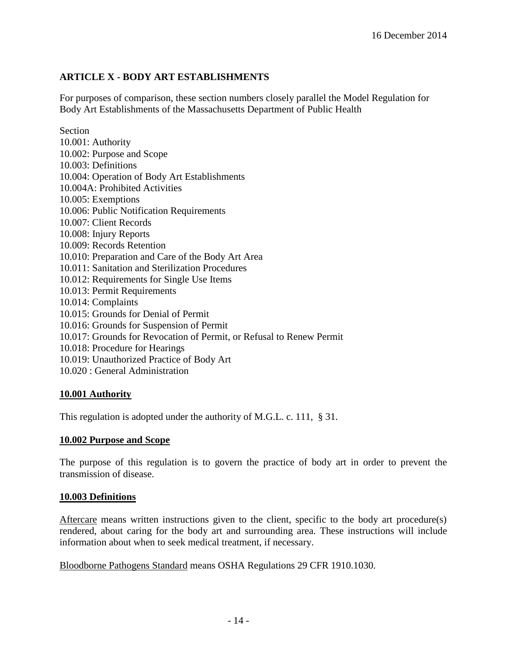# **ARTICLE X - BODY ART ESTABLISHMENTS**

For purposes of comparison, these section numbers closely parallel the Model Regulation for Body Art Establishments of the Massachusetts Department of Public Health

Section 10.001: Authority 10.002: Purpose and Scope 10.003: Definitions 10.004: Operation of Body Art Establishments 10.004A: Prohibited Activities 10.005: Exemptions 10.006: Public Notification Requirements 10.007: Client Records 10.008: Injury Reports 10.009: Records Retention 10.010: Preparation and Care of the Body Art Area 10.011: Sanitation and Sterilization Procedures 10.012: Requirements for Single Use Items 10.013: Permit Requirements 10.014: Complaints 10.015: Grounds for Denial of Permit 10.016: Grounds for Suspension of Permit 10.017: Grounds for Revocation of Permit, or Refusal to Renew Permit 10.018: Procedure for Hearings 10.019: Unauthorized Practice of Body Art 10.020 : General Administration

## **10.001 Authority**

This regulation is adopted under the authority of M.G.L. c. 111, § 31.

## **10.002 Purpose and Scope**

The purpose of this regulation is to govern the practice of body art in order to prevent the transmission of disease.

## **10.003 Definitions**

Aftercare means written instructions given to the client, specific to the body art procedure(s) rendered, about caring for the body art and surrounding area. These instructions will include information about when to seek medical treatment, if necessary.

Bloodborne Pathogens Standard means OSHA Regulations 29 CFR 1910.1030.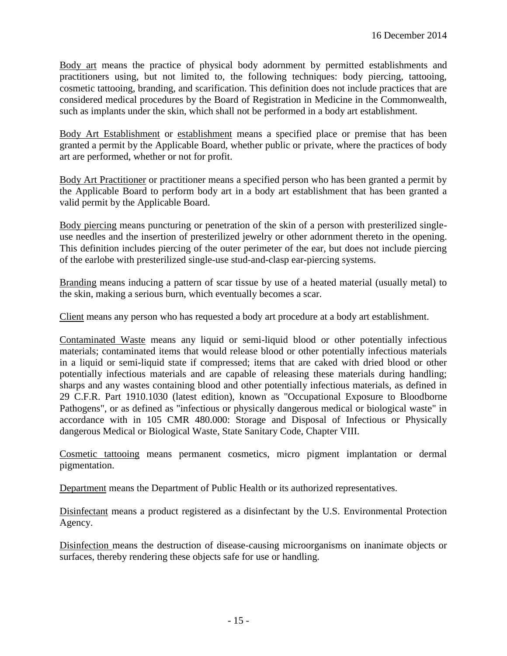Body art means the practice of physical body adornment by permitted establishments and practitioners using, but not limited to, the following techniques: body piercing, tattooing, cosmetic tattooing, branding, and scarification. This definition does not include practices that are considered medical procedures by the Board of Registration in Medicine in the Commonwealth, such as implants under the skin, which shall not be performed in a body art establishment.

Body Art Establishment or establishment means a specified place or premise that has been granted a permit by the Applicable Board, whether public or private, where the practices of body art are performed, whether or not for profit.

Body Art Practitioner or practitioner means a specified person who has been granted a permit by the Applicable Board to perform body art in a body art establishment that has been granted a valid permit by the Applicable Board.

Body piercing means puncturing or penetration of the skin of a person with presterilized singleuse needles and the insertion of presterilized jewelry or other adornment thereto in the opening. This definition includes piercing of the outer perimeter of the ear, but does not include piercing of the earlobe with presterilized single-use stud-and-clasp ear-piercing systems.

Branding means inducing a pattern of scar tissue by use of a heated material (usually metal) to the skin, making a serious burn, which eventually becomes a scar.

Client means any person who has requested a body art procedure at a body art establishment.

Contaminated Waste means any liquid or semi-liquid blood or other potentially infectious materials; contaminated items that would release blood or other potentially infectious materials in a liquid or semi-liquid state if compressed; items that are caked with dried blood or other potentially infectious materials and are capable of releasing these materials during handling; sharps and any wastes containing blood and other potentially infectious materials, as defined in 29 C.F.R. Part 1910.1030 (latest edition), known as "Occupational Exposure to Bloodborne Pathogens", or as defined as "infectious or physically dangerous medical or biological waste" in accordance with in 105 CMR 480.000: Storage and Disposal of Infectious or Physically dangerous Medical or Biological Waste, State Sanitary Code, Chapter VIII.

Cosmetic tattooing means permanent cosmetics, micro pigment implantation or dermal pigmentation.

Department means the Department of Public Health or its authorized representatives.

Disinfectant means a product registered as a disinfectant by the U.S. Environmental Protection Agency.

Disinfection means the destruction of disease-causing microorganisms on inanimate objects or surfaces, thereby rendering these objects safe for use or handling.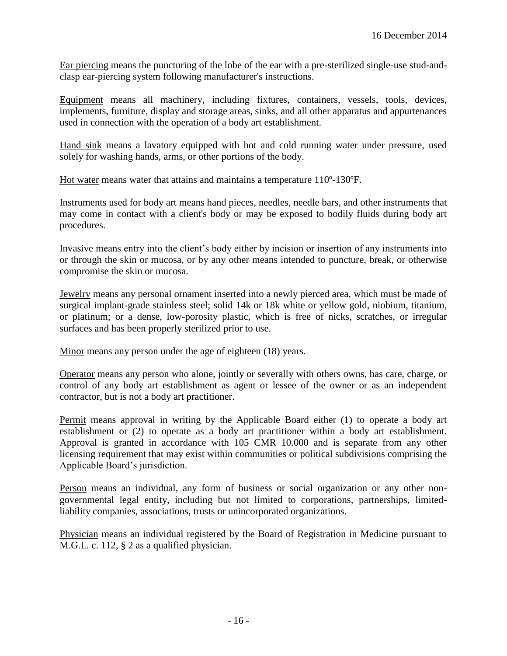Ear piercing means the puncturing of the lobe of the ear with a pre-sterilized single-use stud-andclasp ear-piercing system following manufacturer's instructions.

Equipment means all machinery, including fixtures, containers, vessels, tools, devices, implements, furniture, display and storage areas, sinks, and all other apparatus and appurtenances used in connection with the operation of a body art establishment.

Hand sink means a lavatory equipped with hot and cold running water under pressure, used solely for washing hands, arms, or other portions of the body.

Hot water means water that attains and maintains a temperature 110º-130ºF.

Instruments used for body art means hand pieces, needles, needle bars, and other instruments that may come in contact with a client's body or may be exposed to bodily fluids during body art procedures.

Invasive means entry into the client's body either by incision or insertion of any instruments into or through the skin or mucosa, or by any other means intended to puncture, break, or otherwise compromise the skin or mucosa.

Jewelry means any personal ornament inserted into a newly pierced area, which must be made of surgical implant-grade stainless steel; solid 14k or 18k white or yellow gold, niobium, titanium, or platinum; or a dense, low-porosity plastic, which is free of nicks, scratches, or irregular surfaces and has been properly sterilized prior to use.

Minor means any person under the age of eighteen (18) years.

Operator means any person who alone, jointly or severally with others owns, has care, charge, or control of any body art establishment as agent or lessee of the owner or as an independent contractor, but is not a body art practitioner.

Permit means approval in writing by the Applicable Board either (1) to operate a body art establishment or (2) to operate as a body art practitioner within a body art establishment. Approval is granted in accordance with 105 CMR 10.000 and is separate from any other licensing requirement that may exist within communities or political subdivisions comprising the Applicable Board's jurisdiction.

Person means an individual, any form of business or social organization or any other nongovernmental legal entity, including but not limited to corporations, partnerships, limitedliability companies, associations, trusts or unincorporated organizations.

Physician means an individual registered by the Board of Registration in Medicine pursuant to M.G.L. c. 112, § 2 as a qualified physician.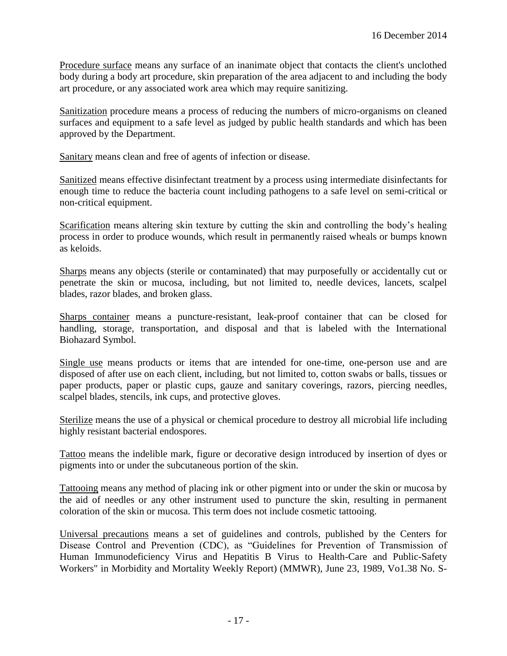Procedure surface means any surface of an inanimate object that contacts the client's unclothed body during a body art procedure, skin preparation of the area adjacent to and including the body art procedure, or any associated work area which may require sanitizing.

Sanitization procedure means a process of reducing the numbers of micro-organisms on cleaned surfaces and equipment to a safe level as judged by public health standards and which has been approved by the Department.

Sanitary means clean and free of agents of infection or disease.

Sanitized means effective disinfectant treatment by a process using intermediate disinfectants for enough time to reduce the bacteria count including pathogens to a safe level on semi-critical or non-critical equipment.

Scarification means altering skin texture by cutting the skin and controlling the body's healing process in order to produce wounds, which result in permanently raised wheals or bumps known as keloids.

Sharps means any objects (sterile or contaminated) that may purposefully or accidentally cut or penetrate the skin or mucosa, including, but not limited to, needle devices, lancets, scalpel blades, razor blades, and broken glass.

Sharps container means a puncture-resistant, leak-proof container that can be closed for handling, storage, transportation, and disposal and that is labeled with the International Biohazard Symbol.

Single use means products or items that are intended for one-time, one-person use and are disposed of after use on each client, including, but not limited to, cotton swabs or balls, tissues or paper products, paper or plastic cups, gauze and sanitary coverings, razors, piercing needles, scalpel blades, stencils, ink cups, and protective gloves.

Sterilize means the use of a physical or chemical procedure to destroy all microbial life including highly resistant bacterial endospores.

Tattoo means the indelible mark, figure or decorative design introduced by insertion of dyes or pigments into or under the subcutaneous portion of the skin.

Tattooing means any method of placing ink or other pigment into or under the skin or mucosa by the aid of needles or any other instrument used to puncture the skin, resulting in permanent coloration of the skin or mucosa. This term does not include cosmetic tattooing.

Universal precautions means a set of guidelines and controls, published by the Centers for Disease Control and Prevention (CDC), as "Guidelines for Prevention of Transmission of Human Immunodeficiency Virus and Hepatitis B Virus to Health-Care and Public-Safety Workers" in Morbidity and Mortality Weekly Report) (MMWR), June 23, 1989, Vo1.38 No. S-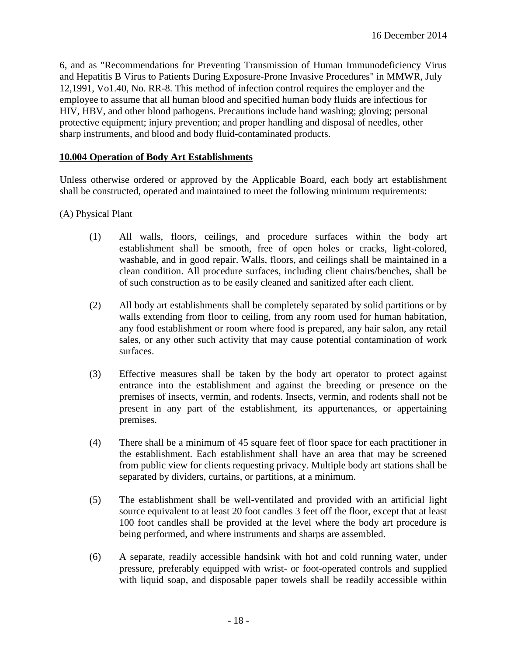6, and as "Recommendations for Preventing Transmission of Human Immunodeficiency Virus and Hepatitis B Virus to Patients During Exposure-Prone Invasive Procedures" in MMWR, July 12,1991, Vo1.40, No. RR-8. This method of infection control requires the employer and the employee to assume that all human blood and specified human body fluids are infectious for HIV, HBV, and other blood pathogens. Precautions include hand washing; gloving; personal protective equipment; injury prevention; and proper handling and disposal of needles, other sharp instruments, and blood and body fluid-contaminated products.

### **10.004 Operation of Body Art Establishments**

Unless otherwise ordered or approved by the Applicable Board, each body art establishment shall be constructed, operated and maintained to meet the following minimum requirements:

### (A) Physical Plant

- (1) All walls, floors, ceilings, and procedure surfaces within the body art establishment shall be smooth, free of open holes or cracks, light-colored, washable, and in good repair. Walls, floors, and ceilings shall be maintained in a clean condition. All procedure surfaces, including client chairs/benches, shall be of such construction as to be easily cleaned and sanitized after each client.
- (2) All body art establishments shall be completely separated by solid partitions or by walls extending from floor to ceiling, from any room used for human habitation, any food establishment or room where food is prepared, any hair salon, any retail sales, or any other such activity that may cause potential contamination of work surfaces.
- (3) Effective measures shall be taken by the body art operator to protect against entrance into the establishment and against the breeding or presence on the premises of insects, vermin, and rodents. Insects, vermin, and rodents shall not be present in any part of the establishment, its appurtenances, or appertaining premises.
- (4) There shall be a minimum of 45 square feet of floor space for each practitioner in the establishment. Each establishment shall have an area that may be screened from public view for clients requesting privacy. Multiple body art stations shall be separated by dividers, curtains, or partitions, at a minimum.
- (5) The establishment shall be well-ventilated and provided with an artificial light source equivalent to at least 20 foot candles 3 feet off the floor, except that at least 100 foot candles shall be provided at the level where the body art procedure is being performed, and where instruments and sharps are assembled.
- (6) A separate, readily accessible handsink with hot and cold running water, under pressure, preferably equipped with wrist- or foot-operated controls and supplied with liquid soap, and disposable paper towels shall be readily accessible within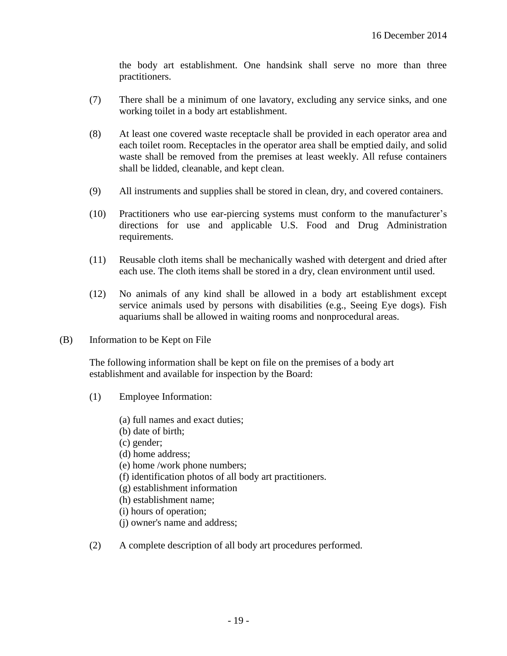the body art establishment. One handsink shall serve no more than three practitioners.

- (7) There shall be a minimum of one lavatory, excluding any service sinks, and one working toilet in a body art establishment.
- (8) At least one covered waste receptacle shall be provided in each operator area and each toilet room. Receptacles in the operator area shall be emptied daily, and solid waste shall be removed from the premises at least weekly. All refuse containers shall be lidded, cleanable, and kept clean.
- (9) All instruments and supplies shall be stored in clean, dry, and covered containers.
- (10) Practitioners who use ear-piercing systems must conform to the manufacturer's directions for use and applicable U.S. Food and Drug Administration requirements.
- (11) Reusable cloth items shall be mechanically washed with detergent and dried after each use. The cloth items shall be stored in a dry, clean environment until used.
- (12) No animals of any kind shall be allowed in a body art establishment except service animals used by persons with disabilities (e.g., Seeing Eye dogs). Fish aquariums shall be allowed in waiting rooms and nonprocedural areas.
- (B) Information to be Kept on File

The following information shall be kept on file on the premises of a body art establishment and available for inspection by the Board:

- (1) Employee Information:
	- (a) full names and exact duties;
	- (b) date of birth;
	- (c) gender;
	- (d) home address;
	- (e) home /work phone numbers;
	- (f) identification photos of all body art practitioners.
	- (g) establishment information
	- (h) establishment name;
	- (i) hours of operation;
	- (j) owner's name and address;
- (2) A complete description of all body art procedures performed.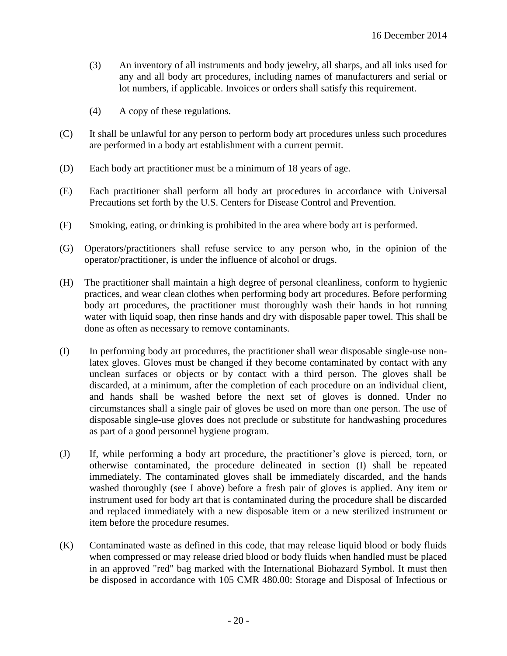- (3) An inventory of all instruments and body jewelry, all sharps, and all inks used for any and all body art procedures, including names of manufacturers and serial or lot numbers, if applicable. Invoices or orders shall satisfy this requirement.
- (4) A copy of these regulations.
- (C) It shall be unlawful for any person to perform body art procedures unless such procedures are performed in a body art establishment with a current permit.
- (D) Each body art practitioner must be a minimum of 18 years of age.
- (E) Each practitioner shall perform all body art procedures in accordance with Universal Precautions set forth by the U.S. Centers for Disease Control and Prevention.
- (F) Smoking, eating, or drinking is prohibited in the area where body art is performed.
- (G) Operators/practitioners shall refuse service to any person who, in the opinion of the operator/practitioner, is under the influence of alcohol or drugs.
- (H) The practitioner shall maintain a high degree of personal cleanliness, conform to hygienic practices, and wear clean clothes when performing body art procedures. Before performing body art procedures, the practitioner must thoroughly wash their hands in hot running water with liquid soap, then rinse hands and dry with disposable paper towel. This shall be done as often as necessary to remove contaminants.
- (I) In performing body art procedures, the practitioner shall wear disposable single-use nonlatex gloves. Gloves must be changed if they become contaminated by contact with any unclean surfaces or objects or by contact with a third person. The gloves shall be discarded, at a minimum, after the completion of each procedure on an individual client, and hands shall be washed before the next set of gloves is donned. Under no circumstances shall a single pair of gloves be used on more than one person. The use of disposable single-use gloves does not preclude or substitute for handwashing procedures as part of a good personnel hygiene program.
- (J) If, while performing a body art procedure, the practitioner's glove is pierced, torn, or otherwise contaminated, the procedure delineated in section (I) shall be repeated immediately. The contaminated gloves shall be immediately discarded, and the hands washed thoroughly (see I above) before a fresh pair of gloves is applied. Any item or instrument used for body art that is contaminated during the procedure shall be discarded and replaced immediately with a new disposable item or a new sterilized instrument or item before the procedure resumes.
- (K) Contaminated waste as defined in this code, that may release liquid blood or body fluids when compressed or may release dried blood or body fluids when handled must be placed in an approved "red" bag marked with the International Biohazard Symbol. It must then be disposed in accordance with 105 CMR 480.00: Storage and Disposal of Infectious or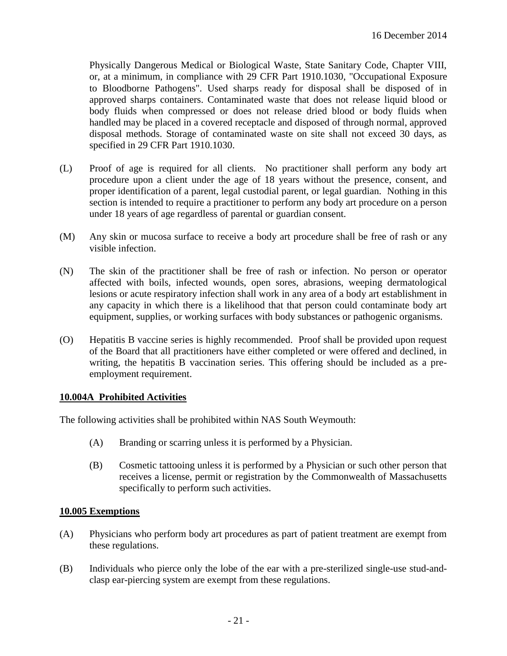Physically Dangerous Medical or Biological Waste, State Sanitary Code, Chapter VIII, or, at a minimum, in compliance with 29 CFR Part 1910.1030, "Occupational Exposure to Bloodborne Pathogens". Used sharps ready for disposal shall be disposed of in approved sharps containers. Contaminated waste that does not release liquid blood or body fluids when compressed or does not release dried blood or body fluids when handled may be placed in a covered receptacle and disposed of through normal, approved disposal methods. Storage of contaminated waste on site shall not exceed 30 days, as specified in 29 CFR Part 1910.1030.

- (L) Proof of age is required for all clients. No practitioner shall perform any body art procedure upon a client under the age of 18 years without the presence, consent, and proper identification of a parent, legal custodial parent, or legal guardian. Nothing in this section is intended to require a practitioner to perform any body art procedure on a person under 18 years of age regardless of parental or guardian consent.
- (M) Any skin or mucosa surface to receive a body art procedure shall be free of rash or any visible infection.
- (N) The skin of the practitioner shall be free of rash or infection. No person or operator affected with boils, infected wounds, open sores, abrasions, weeping dermatological lesions or acute respiratory infection shall work in any area of a body art establishment in any capacity in which there is a likelihood that that person could contaminate body art equipment, supplies, or working surfaces with body substances or pathogenic organisms.
- (O) Hepatitis B vaccine series is highly recommended. Proof shall be provided upon request of the Board that all practitioners have either completed or were offered and declined, in writing, the hepatitis B vaccination series. This offering should be included as a preemployment requirement.

#### **10.004A Prohibited Activities**

The following activities shall be prohibited within NAS South Weymouth:

- (A) Branding or scarring unless it is performed by a Physician.
- (B) Cosmetic tattooing unless it is performed by a Physician or such other person that receives a license, permit or registration by the Commonwealth of Massachusetts specifically to perform such activities.

#### **10.005 Exemptions**

- (A) Physicians who perform body art procedures as part of patient treatment are exempt from these regulations.
- (B) Individuals who pierce only the lobe of the ear with a pre-sterilized single-use stud-andclasp ear-piercing system are exempt from these regulations.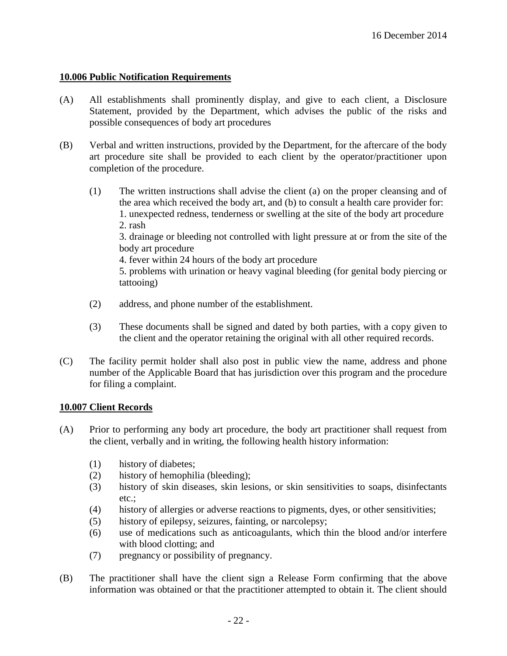## **10.006 Public Notification Requirements**

- (A) All establishments shall prominently display, and give to each client, a Disclosure Statement, provided by the Department, which advises the public of the risks and possible consequences of body art procedures
- (B) Verbal and written instructions, provided by the Department, for the aftercare of the body art procedure site shall be provided to each client by the operator/practitioner upon completion of the procedure.
	- (1) The written instructions shall advise the client (a) on the proper cleansing and of the area which received the body art, and (b) to consult a health care provider for: 1. unexpected redness, tenderness or swelling at the site of the body art procedure 2. rash

3. drainage or bleeding not controlled with light pressure at or from the site of the body art procedure

4. fever within 24 hours of the body art procedure

5. problems with urination or heavy vaginal bleeding (for genital body piercing or tattooing)

- (2) address, and phone number of the establishment.
- (3) These documents shall be signed and dated by both parties, with a copy given to the client and the operator retaining the original with all other required records.
- (C) The facility permit holder shall also post in public view the name, address and phone number of the Applicable Board that has jurisdiction over this program and the procedure for filing a complaint.

#### **10.007 Client Records**

- (A) Prior to performing any body art procedure, the body art practitioner shall request from the client, verbally and in writing, the following health history information:
	- (1) history of diabetes;
	- (2) history of hemophilia (bleeding);
	- (3) history of skin diseases, skin lesions, or skin sensitivities to soaps, disinfectants etc.;
	- (4) history of allergies or adverse reactions to pigments, dyes, or other sensitivities;
	- (5) history of epilepsy, seizures, fainting, or narcolepsy;
	- (6) use of medications such as anticoagulants, which thin the blood and/or interfere with blood clotting; and
	- (7) pregnancy or possibility of pregnancy.
- (B) The practitioner shall have the client sign a Release Form confirming that the above information was obtained or that the practitioner attempted to obtain it. The client should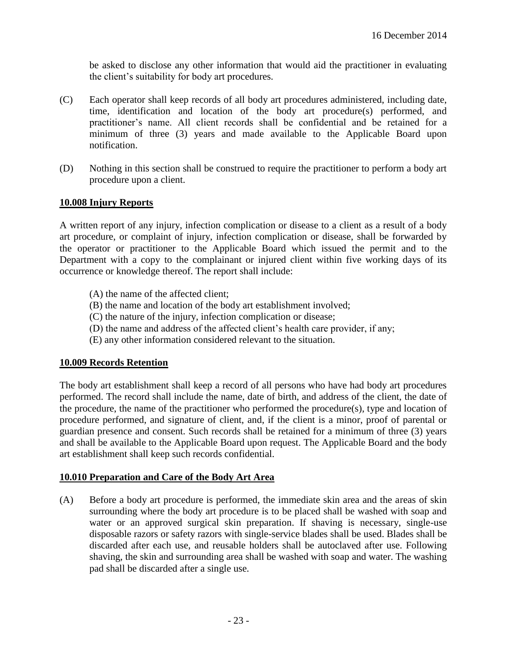be asked to disclose any other information that would aid the practitioner in evaluating the client's suitability for body art procedures.

- (C) Each operator shall keep records of all body art procedures administered, including date, time, identification and location of the body art procedure(s) performed, and practitioner's name. All client records shall be confidential and be retained for a minimum of three (3) years and made available to the Applicable Board upon notification.
- (D) Nothing in this section shall be construed to require the practitioner to perform a body art procedure upon a client.

### **10.008 Injury Reports**

A written report of any injury, infection complication or disease to a client as a result of a body art procedure, or complaint of injury, infection complication or disease, shall be forwarded by the operator or practitioner to the Applicable Board which issued the permit and to the Department with a copy to the complainant or injured client within five working days of its occurrence or knowledge thereof. The report shall include:

- (A) the name of the affected client;
- (B) the name and location of the body art establishment involved;
- (C) the nature of the injury, infection complication or disease;
- (D) the name and address of the affected client's health care provider, if any;
- (E) any other information considered relevant to the situation.

#### **10.009 Records Retention**

The body art establishment shall keep a record of all persons who have had body art procedures performed. The record shall include the name, date of birth, and address of the client, the date of the procedure, the name of the practitioner who performed the procedure(s), type and location of procedure performed, and signature of client, and, if the client is a minor, proof of parental or guardian presence and consent. Such records shall be retained for a minimum of three (3) years and shall be available to the Applicable Board upon request. The Applicable Board and the body art establishment shall keep such records confidential.

#### **10.010 Preparation and Care of the Body Art Area**

(A) Before a body art procedure is performed, the immediate skin area and the areas of skin surrounding where the body art procedure is to be placed shall be washed with soap and water or an approved surgical skin preparation. If shaving is necessary, single-use disposable razors or safety razors with single-service blades shall be used. Blades shall be discarded after each use, and reusable holders shall be autoclaved after use. Following shaving, the skin and surrounding area shall be washed with soap and water. The washing pad shall be discarded after a single use.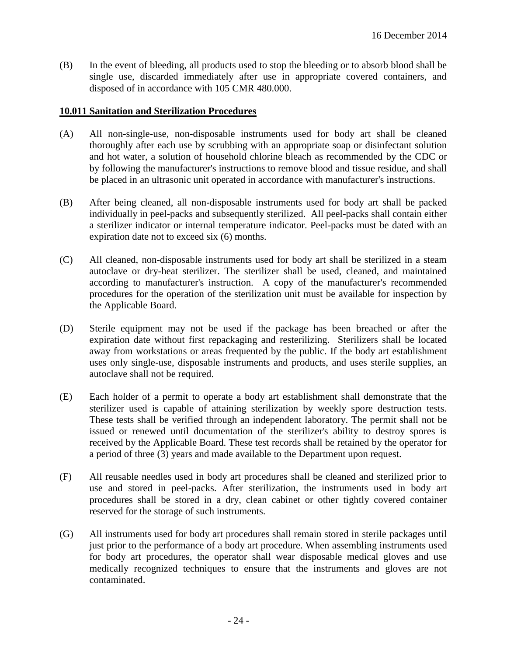(B) In the event of bleeding, all products used to stop the bleeding or to absorb blood shall be single use, discarded immediately after use in appropriate covered containers, and disposed of in accordance with 105 CMR 480.000.

### **10.011 Sanitation and Sterilization Procedures**

- (A) All non-single-use, non-disposable instruments used for body art shall be cleaned thoroughly after each use by scrubbing with an appropriate soap or disinfectant solution and hot water, a solution of household chlorine bleach as recommended by the CDC or by following the manufacturer's instructions to remove blood and tissue residue, and shall be placed in an ultrasonic unit operated in accordance with manufacturer's instructions.
- (B) After being cleaned, all non-disposable instruments used for body art shall be packed individually in peel-packs and subsequently sterilized. All peel-packs shall contain either a sterilizer indicator or internal temperature indicator. Peel-packs must be dated with an expiration date not to exceed six (6) months.
- (C) All cleaned, non-disposable instruments used for body art shall be sterilized in a steam autoclave or dry-heat sterilizer. The sterilizer shall be used, cleaned, and maintained according to manufacturer's instruction. A copy of the manufacturer's recommended procedures for the operation of the sterilization unit must be available for inspection by the Applicable Board.
- (D) Sterile equipment may not be used if the package has been breached or after the expiration date without first repackaging and resterilizing. Sterilizers shall be located away from workstations or areas frequented by the public. If the body art establishment uses only single-use, disposable instruments and products, and uses sterile supplies, an autoclave shall not be required.
- (E) Each holder of a permit to operate a body art establishment shall demonstrate that the sterilizer used is capable of attaining sterilization by weekly spore destruction tests. These tests shall be verified through an independent laboratory. The permit shall not be issued or renewed until documentation of the sterilizer's ability to destroy spores is received by the Applicable Board. These test records shall be retained by the operator for a period of three (3) years and made available to the Department upon request.
- (F) All reusable needles used in body art procedures shall be cleaned and sterilized prior to use and stored in peel-packs. After sterilization, the instruments used in body art procedures shall be stored in a dry, clean cabinet or other tightly covered container reserved for the storage of such instruments.
- (G) All instruments used for body art procedures shall remain stored in sterile packages until just prior to the performance of a body art procedure. When assembling instruments used for body art procedures, the operator shall wear disposable medical gloves and use medically recognized techniques to ensure that the instruments and gloves are not contaminated.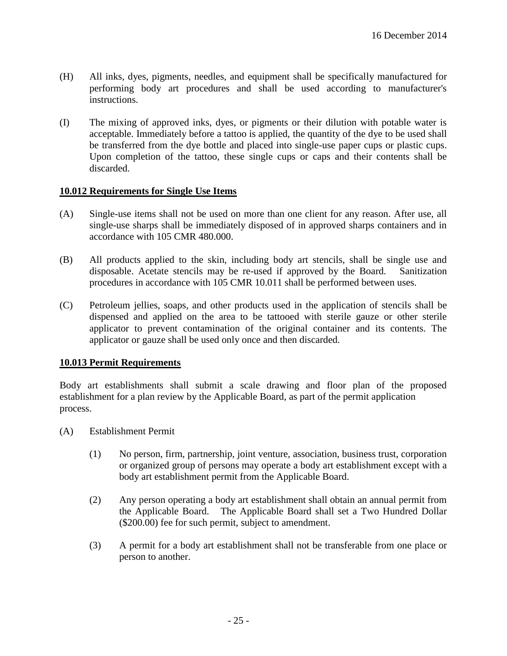- (H) All inks, dyes, pigments, needles, and equipment shall be specifically manufactured for performing body art procedures and shall be used according to manufacturer's instructions.
- (I) The mixing of approved inks, dyes, or pigments or their dilution with potable water is acceptable. Immediately before a tattoo is applied, the quantity of the dye to be used shall be transferred from the dye bottle and placed into single-use paper cups or plastic cups. Upon completion of the tattoo, these single cups or caps and their contents shall be discarded.

#### **10.012 Requirements for Single Use Items**

- (A) Single-use items shall not be used on more than one client for any reason. After use, all single-use sharps shall be immediately disposed of in approved sharps containers and in accordance with 105 CMR 480.000.
- (B) All products applied to the skin, including body art stencils, shall be single use and disposable. Acetate stencils may be re-used if approved by the Board. Sanitization procedures in accordance with 105 CMR 10.011 shall be performed between uses.
- (C) Petroleum jellies, soaps, and other products used in the application of stencils shall be dispensed and applied on the area to be tattooed with sterile gauze or other sterile applicator to prevent contamination of the original container and its contents. The applicator or gauze shall be used only once and then discarded.

#### **10.013 Permit Requirements**

Body art establishments shall submit a scale drawing and floor plan of the proposed establishment for a plan review by the Applicable Board, as part of the permit application process.

- (A) Establishment Permit
	- (1) No person, firm, partnership, joint venture, association, business trust, corporation or organized group of persons may operate a body art establishment except with a body art establishment permit from the Applicable Board.
	- (2) Any person operating a body art establishment shall obtain an annual permit from the Applicable Board. The Applicable Board shall set a Two Hundred Dollar (\$200.00) fee for such permit, subject to amendment.
	- (3) A permit for a body art establishment shall not be transferable from one place or person to another.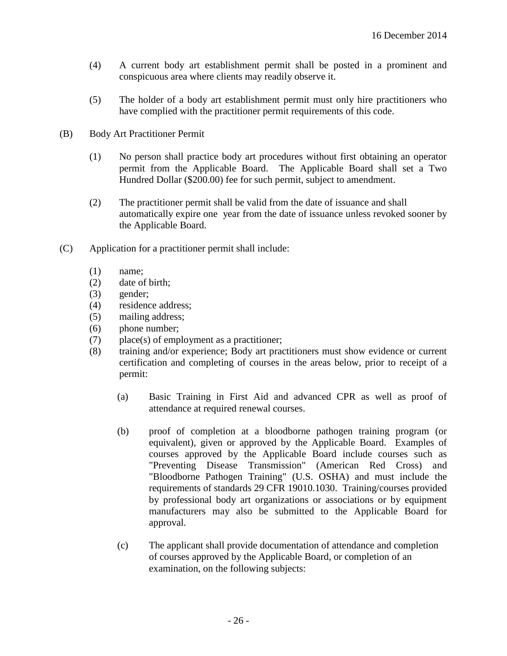- (4) A current body art establishment permit shall be posted in a prominent and conspicuous area where clients may readily observe it.
- (5) The holder of a body art establishment permit must only hire practitioners who have complied with the practitioner permit requirements of this code.
- (B) Body Art Practitioner Permit
	- (1) No person shall practice body art procedures without first obtaining an operator permit from the Applicable Board. The Applicable Board shall set a Two Hundred Dollar (\$200.00) fee for such permit, subject to amendment.
	- (2) The practitioner permit shall be valid from the date of issuance and shall automatically expire one year from the date of issuance unless revoked sooner by the Applicable Board.
- (C) Application for a practitioner permit shall include:
	- (1) name;
	- (2) date of birth;
	- (3) gender;
	- (4) residence address;
	- (5) mailing address;
	- (6) phone number;
	- (7) place(s) of employment as a practitioner;
	- (8) training and/or experience; Body art practitioners must show evidence or current certification and completing of courses in the areas below, prior to receipt of a permit:
		- (a) Basic Training in First Aid and advanced CPR as well as proof of attendance at required renewal courses.
		- (b) proof of completion at a bloodborne pathogen training program (or equivalent), given or approved by the Applicable Board. Examples of courses approved by the Applicable Board include courses such as "Preventing Disease Transmission" (American Red Cross) and "Bloodborne Pathogen Training" (U.S. OSHA) and must include the requirements of standards 29 CFR 19010.1030. Training/courses provided by professional body art organizations or associations or by equipment manufacturers may also be submitted to the Applicable Board for approval.
		- (c) The applicant shall provide documentation of attendance and completion of courses approved by the Applicable Board, or completion of an examination, on the following subjects: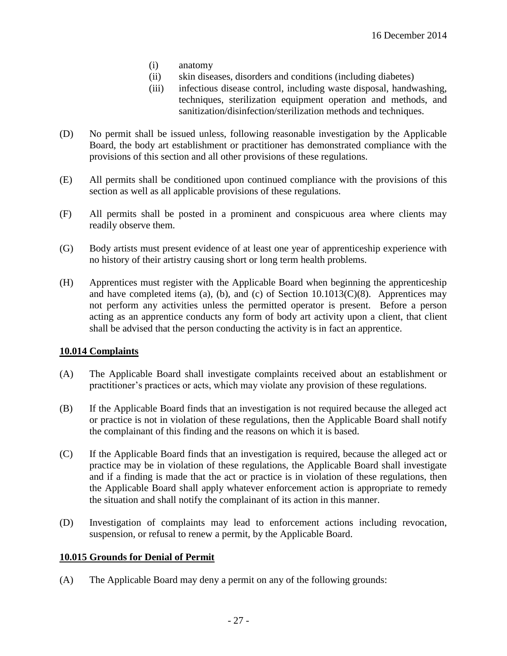- (i) anatomy
- (ii) skin diseases, disorders and conditions (including diabetes)
- (iii) infectious disease control, including waste disposal, handwashing, techniques, sterilization equipment operation and methods, and sanitization/disinfection/sterilization methods and techniques.
- (D) No permit shall be issued unless, following reasonable investigation by the Applicable Board, the body art establishment or practitioner has demonstrated compliance with the provisions of this section and all other provisions of these regulations.
- (E) All permits shall be conditioned upon continued compliance with the provisions of this section as well as all applicable provisions of these regulations.
- (F) All permits shall be posted in a prominent and conspicuous area where clients may readily observe them.
- (G) Body artists must present evidence of at least one year of apprenticeship experience with no history of their artistry causing short or long term health problems.
- (H) Apprentices must register with the Applicable Board when beginning the apprenticeship and have completed items (a), (b), and (c) of Section  $10.1013(C)(8)$ . Apprentices may not perform any activities unless the permitted operator is present. Before a person acting as an apprentice conducts any form of body art activity upon a client, that client shall be advised that the person conducting the activity is in fact an apprentice.

#### **10.014 Complaints**

- (A) The Applicable Board shall investigate complaints received about an establishment or practitioner's practices or acts, which may violate any provision of these regulations.
- (B) If the Applicable Board finds that an investigation is not required because the alleged act or practice is not in violation of these regulations, then the Applicable Board shall notify the complainant of this finding and the reasons on which it is based.
- (C) If the Applicable Board finds that an investigation is required, because the alleged act or practice may be in violation of these regulations, the Applicable Board shall investigate and if a finding is made that the act or practice is in violation of these regulations, then the Applicable Board shall apply whatever enforcement action is appropriate to remedy the situation and shall notify the complainant of its action in this manner.
- (D) Investigation of complaints may lead to enforcement actions including revocation, suspension, or refusal to renew a permit, by the Applicable Board.

#### **10.015 Grounds for Denial of Permit**

(A) The Applicable Board may deny a permit on any of the following grounds: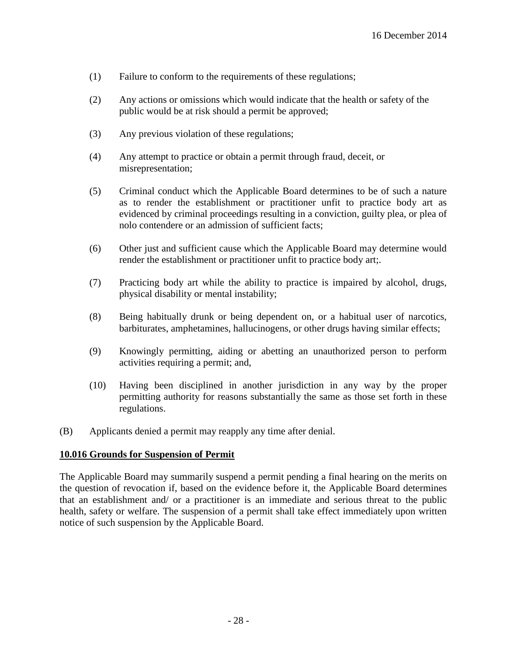- (1) Failure to conform to the requirements of these regulations;
- (2) Any actions or omissions which would indicate that the health or safety of the public would be at risk should a permit be approved;
- (3) Any previous violation of these regulations;
- (4) Any attempt to practice or obtain a permit through fraud, deceit, or misrepresentation;
- (5) Criminal conduct which the Applicable Board determines to be of such a nature as to render the establishment or practitioner unfit to practice body art as evidenced by criminal proceedings resulting in a conviction, guilty plea, or plea of nolo contendere or an admission of sufficient facts;
- (6) Other just and sufficient cause which the Applicable Board may determine would render the establishment or practitioner unfit to practice body art;.
- (7) Practicing body art while the ability to practice is impaired by alcohol, drugs, physical disability or mental instability;
- (8) Being habitually drunk or being dependent on, or a habitual user of narcotics, barbiturates, amphetamines, hallucinogens, or other drugs having similar effects;
- (9) Knowingly permitting, aiding or abetting an unauthorized person to perform activities requiring a permit; and,
- (10) Having been disciplined in another jurisdiction in any way by the proper permitting authority for reasons substantially the same as those set forth in these regulations.
- (B) Applicants denied a permit may reapply any time after denial.

#### **10.016 Grounds for Suspension of Permit**

The Applicable Board may summarily suspend a permit pending a final hearing on the merits on the question of revocation if, based on the evidence before it, the Applicable Board determines that an establishment and/ or a practitioner is an immediate and serious threat to the public health, safety or welfare. The suspension of a permit shall take effect immediately upon written notice of such suspension by the Applicable Board.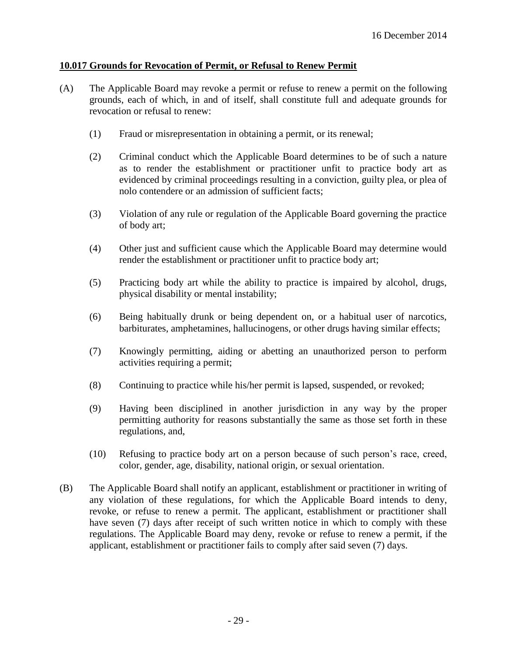### **10.017 Grounds for Revocation of Permit, or Refusal to Renew Permit**

- (A) The Applicable Board may revoke a permit or refuse to renew a permit on the following grounds, each of which, in and of itself, shall constitute full and adequate grounds for revocation or refusal to renew:
	- (1) Fraud or misrepresentation in obtaining a permit, or its renewal;
	- (2) Criminal conduct which the Applicable Board determines to be of such a nature as to render the establishment or practitioner unfit to practice body art as evidenced by criminal proceedings resulting in a conviction, guilty plea, or plea of nolo contendere or an admission of sufficient facts;
	- (3) Violation of any rule or regulation of the Applicable Board governing the practice of body art;
	- (4) Other just and sufficient cause which the Applicable Board may determine would render the establishment or practitioner unfit to practice body art;
	- (5) Practicing body art while the ability to practice is impaired by alcohol, drugs, physical disability or mental instability;
	- (6) Being habitually drunk or being dependent on, or a habitual user of narcotics, barbiturates, amphetamines, hallucinogens, or other drugs having similar effects;
	- (7) Knowingly permitting, aiding or abetting an unauthorized person to perform activities requiring a permit;
	- (8) Continuing to practice while his/her permit is lapsed, suspended, or revoked;
	- (9) Having been disciplined in another jurisdiction in any way by the proper permitting authority for reasons substantially the same as those set forth in these regulations, and,
	- (10) Refusing to practice body art on a person because of such person's race, creed, color, gender, age, disability, national origin, or sexual orientation.
- (B) The Applicable Board shall notify an applicant, establishment or practitioner in writing of any violation of these regulations, for which the Applicable Board intends to deny, revoke, or refuse to renew a permit. The applicant, establishment or practitioner shall have seven (7) days after receipt of such written notice in which to comply with these regulations. The Applicable Board may deny, revoke or refuse to renew a permit, if the applicant, establishment or practitioner fails to comply after said seven (7) days.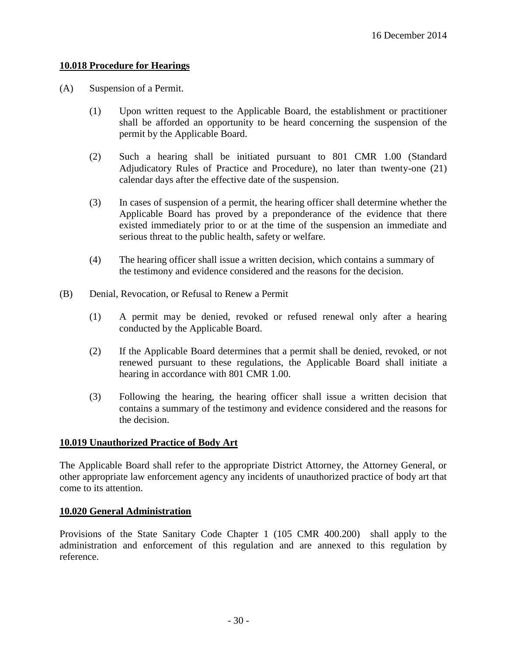## **10.018 Procedure for Hearings**

- (A) Suspension of a Permit.
	- (1) Upon written request to the Applicable Board, the establishment or practitioner shall be afforded an opportunity to be heard concerning the suspension of the permit by the Applicable Board.
	- (2) Such a hearing shall be initiated pursuant to 801 CMR 1.00 (Standard Adjudicatory Rules of Practice and Procedure), no later than twenty-one (21) calendar days after the effective date of the suspension.
	- (3) In cases of suspension of a permit, the hearing officer shall determine whether the Applicable Board has proved by a preponderance of the evidence that there existed immediately prior to or at the time of the suspension an immediate and serious threat to the public health, safety or welfare.
	- (4) The hearing officer shall issue a written decision, which contains a summary of the testimony and evidence considered and the reasons for the decision.
- (B) Denial, Revocation, or Refusal to Renew a Permit
	- (1) A permit may be denied, revoked or refused renewal only after a hearing conducted by the Applicable Board.
	- (2) If the Applicable Board determines that a permit shall be denied, revoked, or not renewed pursuant to these regulations, the Applicable Board shall initiate a hearing in accordance with 801 CMR 1.00.
	- (3) Following the hearing, the hearing officer shall issue a written decision that contains a summary of the testimony and evidence considered and the reasons for the decision.

## **10.019 Unauthorized Practice of Body Art**

The Applicable Board shall refer to the appropriate District Attorney, the Attorney General, or other appropriate law enforcement agency any incidents of unauthorized practice of body art that come to its attention.

## **10.020 General Administration**

Provisions of the State Sanitary Code Chapter 1 (105 CMR 400.200) shall apply to the administration and enforcement of this regulation and are annexed to this regulation by reference.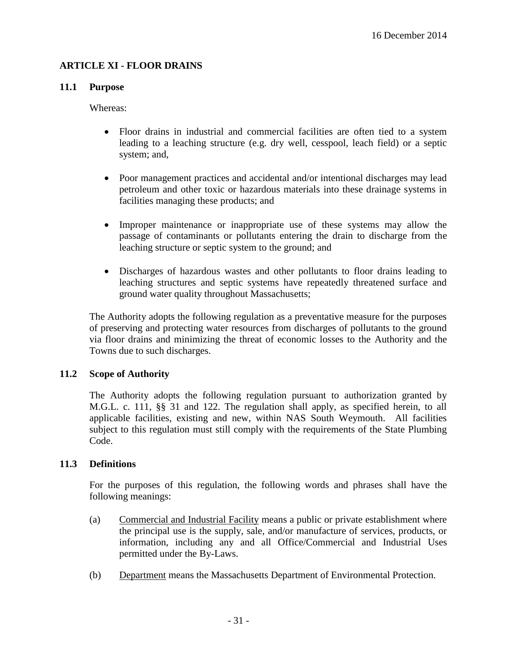## **ARTICLE XI - FLOOR DRAINS**

### **11.1 Purpose**

Whereas:

- Floor drains in industrial and commercial facilities are often tied to a system leading to a leaching structure (e.g. dry well, cesspool, leach field) or a septic system; and,
- Poor management practices and accidental and/or intentional discharges may lead petroleum and other toxic or hazardous materials into these drainage systems in facilities managing these products; and
- Improper maintenance or inappropriate use of these systems may allow the passage of contaminants or pollutants entering the drain to discharge from the leaching structure or septic system to the ground; and
- Discharges of hazardous wastes and other pollutants to floor drains leading to leaching structures and septic systems have repeatedly threatened surface and ground water quality throughout Massachusetts;

The Authority adopts the following regulation as a preventative measure for the purposes of preserving and protecting water resources from discharges of pollutants to the ground via floor drains and minimizing the threat of economic losses to the Authority and the Towns due to such discharges.

## **11.2 Scope of Authority**

The Authority adopts the following regulation pursuant to authorization granted by M.G.L. c. 111, §§ 31 and 122. The regulation shall apply, as specified herein, to all applicable facilities, existing and new, within NAS South Weymouth. All facilities subject to this regulation must still comply with the requirements of the State Plumbing Code.

## **11.3 Definitions**

For the purposes of this regulation, the following words and phrases shall have the following meanings:

- (a) Commercial and Industrial Facility means a public or private establishment where the principal use is the supply, sale, and/or manufacture of services, products, or information, including any and all Office/Commercial and Industrial Uses permitted under the By-Laws.
- (b) Department means the Massachusetts Department of Environmental Protection.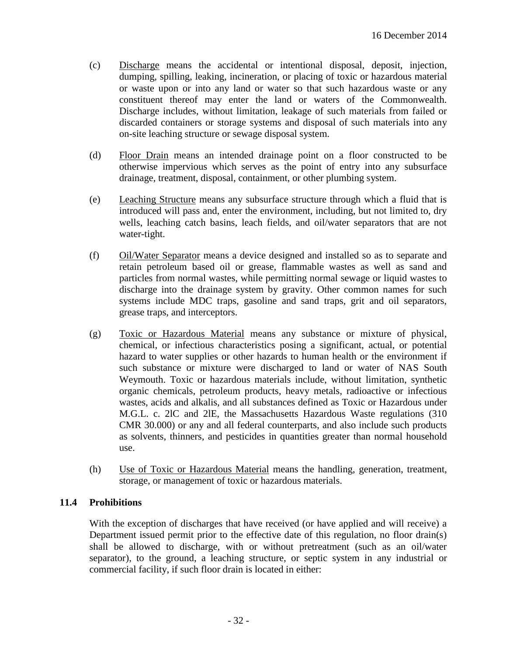- (c) Discharge means the accidental or intentional disposal, deposit, injection, dumping, spilling, leaking, incineration, or placing of toxic or hazardous material or waste upon or into any land or water so that such hazardous waste or any constituent thereof may enter the land or waters of the Commonwealth. Discharge includes, without limitation, leakage of such materials from failed or discarded containers or storage systems and disposal of such materials into any on-site leaching structure or sewage disposal system.
- (d) Floor Drain means an intended drainage point on a floor constructed to be otherwise impervious which serves as the point of entry into any subsurface drainage, treatment, disposal, containment, or other plumbing system.
- (e) Leaching Structure means any subsurface structure through which a fluid that is introduced will pass and, enter the environment, including, but not limited to, dry wells, leaching catch basins, leach fields, and oil/water separators that are not water-tight.
- (f) Oil/Water Separator means a device designed and installed so as to separate and retain petroleum based oil or grease, flammable wastes as well as sand and particles from normal wastes, while permitting normal sewage or liquid wastes to discharge into the drainage system by gravity. Other common names for such systems include MDC traps, gasoline and sand traps, grit and oil separators, grease traps, and interceptors.
- (g) Toxic or Hazardous Material means any substance or mixture of physical, chemical, or infectious characteristics posing a significant, actual, or potential hazard to water supplies or other hazards to human health or the environment if such substance or mixture were discharged to land or water of NAS South Weymouth. Toxic or hazardous materials include, without limitation, synthetic organic chemicals, petroleum products, heavy metals, radioactive or infectious wastes, acids and alkalis, and all substances defined as Toxic or Hazardous under M.G.L. c. 2lC and 2lE, the Massachusetts Hazardous Waste regulations (310 CMR 30.000) or any and all federal counterparts, and also include such products as solvents, thinners, and pesticides in quantities greater than normal household use.
- (h) Use of Toxic or Hazardous Material means the handling, generation, treatment, storage, or management of toxic or hazardous materials.

## **11.4 Prohibitions**

With the exception of discharges that have received (or have applied and will receive) a Department issued permit prior to the effective date of this regulation, no floor drain(s) shall be allowed to discharge, with or without pretreatment (such as an oil/water separator), to the ground, a leaching structure, or septic system in any industrial or commercial facility, if such floor drain is located in either: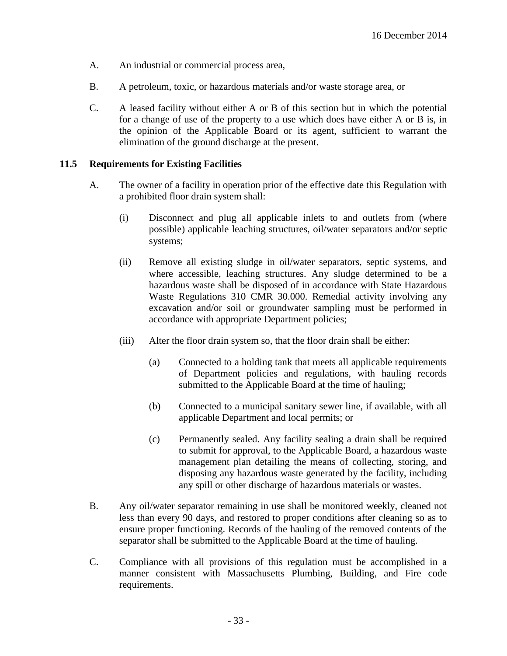- A. An industrial or commercial process area,
- B. A petroleum, toxic, or hazardous materials and/or waste storage area, or
- C. A leased facility without either A or B of this section but in which the potential for a change of use of the property to a use which does have either A or B is, in the opinion of the Applicable Board or its agent, sufficient to warrant the elimination of the ground discharge at the present.

## **11.5 Requirements for Existing Facilities**

- A. The owner of a facility in operation prior of the effective date this Regulation with a prohibited floor drain system shall:
	- (i) Disconnect and plug all applicable inlets to and outlets from (where possible) applicable leaching structures, oil/water separators and/or septic systems;
	- (ii) Remove all existing sludge in oil/water separators, septic systems, and where accessible, leaching structures. Any sludge determined to be a hazardous waste shall be disposed of in accordance with State Hazardous Waste Regulations 310 CMR 30.000. Remedial activity involving any excavation and/or soil or groundwater sampling must be performed in accordance with appropriate Department policies;
	- (iii) Alter the floor drain system so, that the floor drain shall be either:
		- (a) Connected to a holding tank that meets all applicable requirements of Department policies and regulations, with hauling records submitted to the Applicable Board at the time of hauling;
		- (b) Connected to a municipal sanitary sewer line, if available, with all applicable Department and local permits; or
		- (c) Permanently sealed. Any facility sealing a drain shall be required to submit for approval, to the Applicable Board, a hazardous waste management plan detailing the means of collecting, storing, and disposing any hazardous waste generated by the facility, including any spill or other discharge of hazardous materials or wastes.
- B. Any oil/water separator remaining in use shall be monitored weekly, cleaned not less than every 90 days, and restored to proper conditions after cleaning so as to ensure proper functioning. Records of the hauling of the removed contents of the separator shall be submitted to the Applicable Board at the time of hauling.
- C. Compliance with all provisions of this regulation must be accomplished in a manner consistent with Massachusetts Plumbing, Building, and Fire code requirements.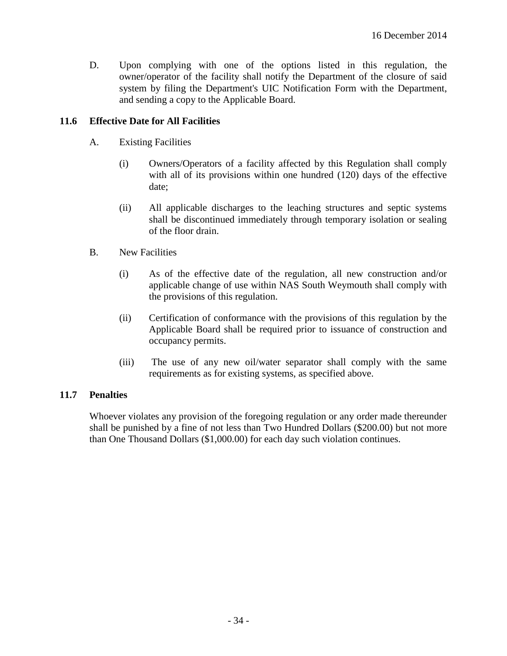D. Upon complying with one of the options listed in this regulation, the owner/operator of the facility shall notify the Department of the closure of said system by filing the Department's UIC Notification Form with the Department, and sending a copy to the Applicable Board.

## **11.6 Effective Date for All Facilities**

- A. Existing Facilities
	- (i) Owners/Operators of a facility affected by this Regulation shall comply with all of its provisions within one hundred (120) days of the effective date;
	- (ii) All applicable discharges to the leaching structures and septic systems shall be discontinued immediately through temporary isolation or sealing of the floor drain.
- B. New Facilities
	- (i) As of the effective date of the regulation, all new construction and/or applicable change of use within NAS South Weymouth shall comply with the provisions of this regulation.
	- (ii) Certification of conformance with the provisions of this regulation by the Applicable Board shall be required prior to issuance of construction and occupancy permits.
	- (iii) The use of any new oil/water separator shall comply with the same requirements as for existing systems, as specified above.

#### **11.7 Penalties**

Whoever violates any provision of the foregoing regulation or any order made thereunder shall be punished by a fine of not less than Two Hundred Dollars (\$200.00) but not more than One Thousand Dollars (\$1,000.00) for each day such violation continues.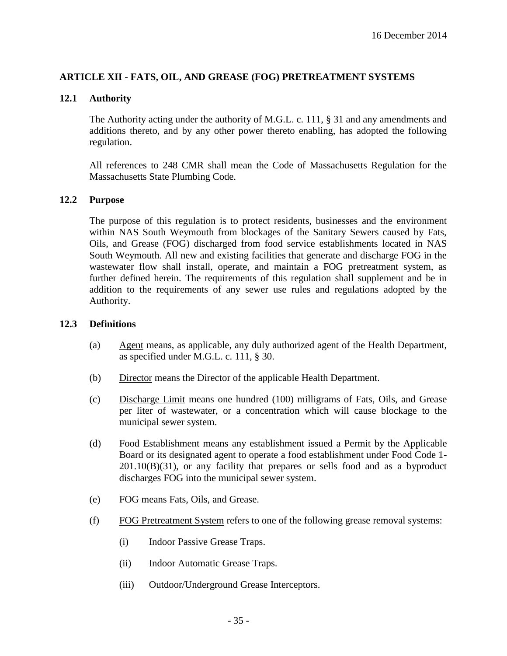## **ARTICLE XII - FATS, OIL, AND GREASE (FOG) PRETREATMENT SYSTEMS**

### **12.1 Authority**

The Authority acting under the authority of M.G.L. c. 111, § 31 and any amendments and additions thereto, and by any other power thereto enabling, has adopted the following regulation.

All references to 248 CMR shall mean the Code of Massachusetts Regulation for the Massachusetts State Plumbing Code.

#### **12.2 Purpose**

The purpose of this regulation is to protect residents, businesses and the environment within NAS South Weymouth from blockages of the Sanitary Sewers caused by Fats, Oils, and Grease (FOG) discharged from food service establishments located in NAS South Weymouth. All new and existing facilities that generate and discharge FOG in the wastewater flow shall install, operate, and maintain a FOG pretreatment system, as further defined herein. The requirements of this regulation shall supplement and be in addition to the requirements of any sewer use rules and regulations adopted by the Authority.

#### **12.3 Definitions**

- (a) Agent means, as applicable, any duly authorized agent of the Health Department, as specified under M.G.L. c. 111, § 30.
- (b) Director means the Director of the applicable Health Department.
- (c) Discharge Limit means one hundred (100) milligrams of Fats, Oils, and Grease per liter of wastewater, or a concentration which will cause blockage to the municipal sewer system.
- (d) Food Establishment means any establishment issued a Permit by the Applicable Board or its designated agent to operate a food establishment under Food Code 1- 201.10(B)(31), or any facility that prepares or sells food and as a byproduct discharges FOG into the municipal sewer system.
- (e) FOG means Fats, Oils, and Grease.
- (f) FOG Pretreatment System refers to one of the following grease removal systems:
	- (i) Indoor Passive Grease Traps.
	- (ii) Indoor Automatic Grease Traps.
	- (iii) Outdoor/Underground Grease Interceptors.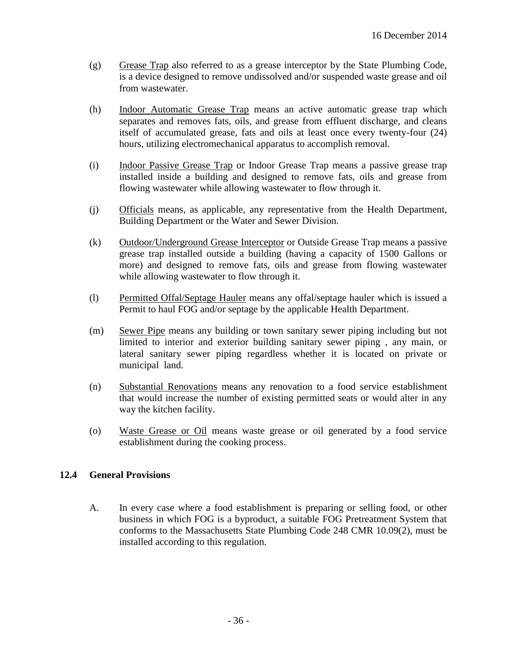- (g) Grease Trap also referred to as a grease interceptor by the State Plumbing Code, is a device designed to remove undissolved and/or suspended waste grease and oil from wastewater.
- (h) Indoor Automatic Grease Trap means an active automatic grease trap which separates and removes fats, oils, and grease from effluent discharge, and cleans itself of accumulated grease, fats and oils at least once every twenty-four (24) hours, utilizing electromechanical apparatus to accomplish removal.
- (i) Indoor Passive Grease Trap or Indoor Grease Trap means a passive grease trap installed inside a building and designed to remove fats, oils and grease from flowing wastewater while allowing wastewater to flow through it.
- (j) Officials means, as applicable, any representative from the Health Department, Building Department or the Water and Sewer Division.
- (k) Outdoor/Underground Grease Interceptor or Outside Grease Trap means a passive grease trap installed outside a building (having a capacity of 1500 Gallons or more) and designed to remove fats, oils and grease from flowing wastewater while allowing wastewater to flow through it.
- (l) Permitted Offal/Septage Hauler means any offal/septage hauler which is issued a Permit to haul FOG and/or septage by the applicable Health Department.
- (m) Sewer Pipe means any building or town sanitary sewer piping including but not limited to interior and exterior building sanitary sewer piping , any main, or lateral sanitary sewer piping regardless whether it is located on private or municipal land.
- (n) Substantial Renovations means any renovation to a food service establishment that would increase the number of existing permitted seats or would alter in any way the kitchen facility.
- (o) Waste Grease or Oil means waste grease or oil generated by a food service establishment during the cooking process.

## **12.4 General Provisions**

A. In every case where a food establishment is preparing or selling food, or other business in which FOG is a byproduct, a suitable FOG Pretreatment System that conforms to the Massachusetts State Plumbing Code 248 CMR 10.09(2), must be installed according to this regulation.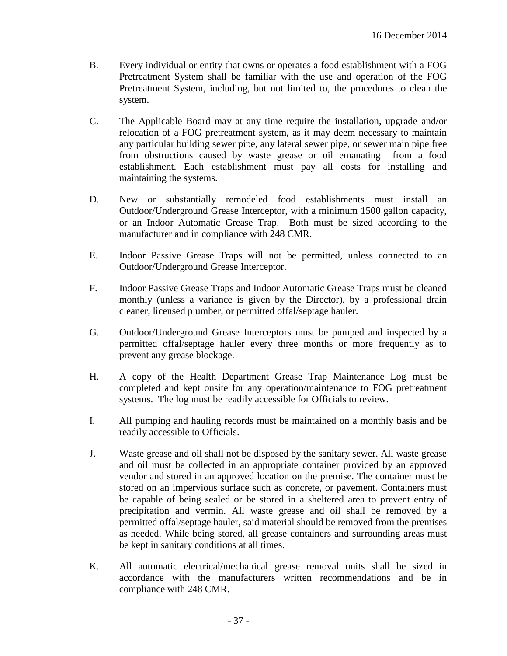- B. Every individual or entity that owns or operates a food establishment with a FOG Pretreatment System shall be familiar with the use and operation of the FOG Pretreatment System, including, but not limited to, the procedures to clean the system.
- C. The Applicable Board may at any time require the installation, upgrade and/or relocation of a FOG pretreatment system, as it may deem necessary to maintain any particular building sewer pipe, any lateral sewer pipe, or sewer main pipe free from obstructions caused by waste grease or oil emanating from a food establishment. Each establishment must pay all costs for installing and maintaining the systems.
- D. New or substantially remodeled food establishments must install an Outdoor/Underground Grease Interceptor, with a minimum 1500 gallon capacity, or an Indoor Automatic Grease Trap. Both must be sized according to the manufacturer and in compliance with 248 CMR.
- E. Indoor Passive Grease Traps will not be permitted, unless connected to an Outdoor/Underground Grease Interceptor.
- F. Indoor Passive Grease Traps and Indoor Automatic Grease Traps must be cleaned monthly (unless a variance is given by the Director), by a professional drain cleaner, licensed plumber, or permitted offal/septage hauler.
- G. Outdoor/Underground Grease Interceptors must be pumped and inspected by a permitted offal/septage hauler every three months or more frequently as to prevent any grease blockage.
- H. A copy of the Health Department Grease Trap Maintenance Log must be completed and kept onsite for any operation/maintenance to FOG pretreatment systems. The log must be readily accessible for Officials to review.
- I. All pumping and hauling records must be maintained on a monthly basis and be readily accessible to Officials.
- J. Waste grease and oil shall not be disposed by the sanitary sewer. All waste grease and oil must be collected in an appropriate container provided by an approved vendor and stored in an approved location on the premise. The container must be stored on an impervious surface such as concrete, or pavement. Containers must be capable of being sealed or be stored in a sheltered area to prevent entry of precipitation and vermin. All waste grease and oil shall be removed by a permitted offal/septage hauler, said material should be removed from the premises as needed. While being stored, all grease containers and surrounding areas must be kept in sanitary conditions at all times.
- K. All automatic electrical/mechanical grease removal units shall be sized in accordance with the manufacturers written recommendations and be in compliance with 248 CMR.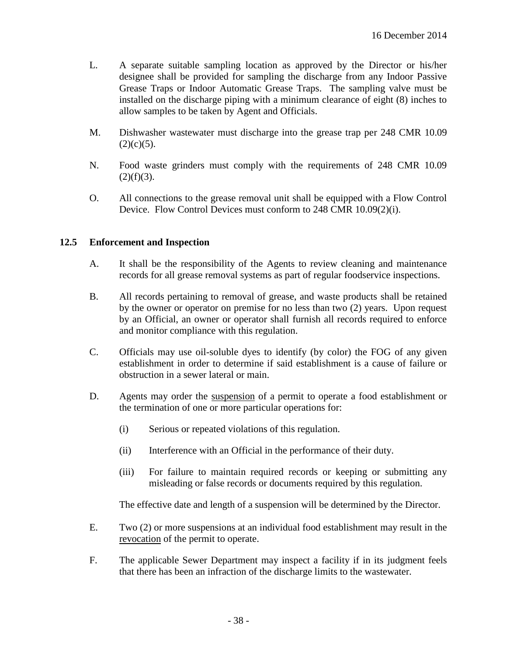- L. A separate suitable sampling location as approved by the Director or his/her designee shall be provided for sampling the discharge from any Indoor Passive Grease Traps or Indoor Automatic Grease Traps. The sampling valve must be installed on the discharge piping with a minimum clearance of eight (8) inches to allow samples to be taken by Agent and Officials.
- M. Dishwasher wastewater must discharge into the grease trap per 248 CMR 10.09  $(2)(c)(5)$ .
- N. Food waste grinders must comply with the requirements of 248 CMR 10.09  $(2)(f)(3)$ .
- O. All connections to the grease removal unit shall be equipped with a Flow Control Device. Flow Control Devices must conform to 248 CMR 10.09(2)(i).

### **12.5 Enforcement and Inspection**

- A. It shall be the responsibility of the Agents to review cleaning and maintenance records for all grease removal systems as part of regular foodservice inspections.
- B. All records pertaining to removal of grease, and waste products shall be retained by the owner or operator on premise for no less than two (2) years. Upon request by an Official, an owner or operator shall furnish all records required to enforce and monitor compliance with this regulation.
- C. Officials may use oil-soluble dyes to identify (by color) the FOG of any given establishment in order to determine if said establishment is a cause of failure or obstruction in a sewer lateral or main.
- D. Agents may order the suspension of a permit to operate a food establishment or the termination of one or more particular operations for:
	- (i) Serious or repeated violations of this regulation.
	- (ii) Interference with an Official in the performance of their duty.
	- (iii) For failure to maintain required records or keeping or submitting any misleading or false records or documents required by this regulation.

The effective date and length of a suspension will be determined by the Director.

- E. Two (2) or more suspensions at an individual food establishment may result in the revocation of the permit to operate.
- F. The applicable Sewer Department may inspect a facility if in its judgment feels that there has been an infraction of the discharge limits to the wastewater.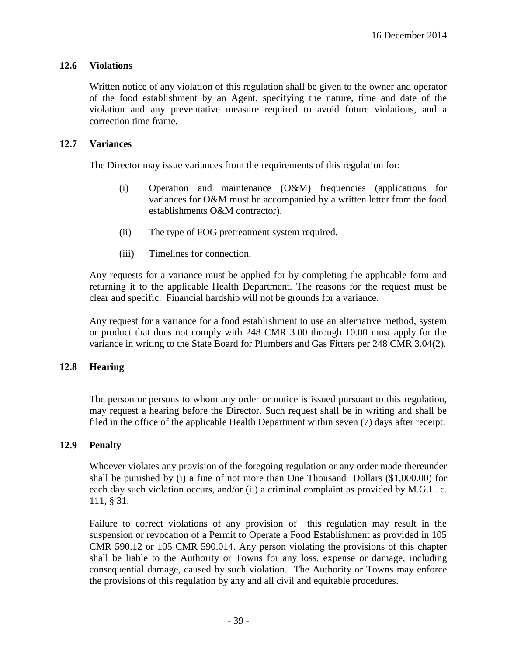## **12.6 Violations**

Written notice of any violation of this regulation shall be given to the owner and operator of the food establishment by an Agent, specifying the nature, time and date of the violation and any preventative measure required to avoid future violations, and a correction time frame.

### **12.7 Variances**

The Director may issue variances from the requirements of this regulation for:

- (i) Operation and maintenance (O&M) frequencies (applications for variances for O&M must be accompanied by a written letter from the food establishments O&M contractor).
- (ii) The type of FOG pretreatment system required.
- (iii) Timelines for connection.

Any requests for a variance must be applied for by completing the applicable form and returning it to the applicable Health Department. The reasons for the request must be clear and specific. Financial hardship will not be grounds for a variance.

Any request for a variance for a food establishment to use an alternative method, system or product that does not comply with 248 CMR 3.00 through 10.00 must apply for the variance in writing to the State Board for Plumbers and Gas Fitters per 248 CMR 3.04(2).

## **12.8 Hearing**

The person or persons to whom any order or notice is issued pursuant to this regulation, may request a hearing before the Director. Such request shall be in writing and shall be filed in the office of the applicable Health Department within seven (7) days after receipt.

#### **12.9 Penalty**

Whoever violates any provision of the foregoing regulation or any order made thereunder shall be punished by (i) a fine of not more than One Thousand Dollars (\$1,000.00) for each day such violation occurs, and/or (ii) a criminal complaint as provided by M.G.L. c. 111, § 31.

Failure to correct violations of any provision of this regulation may result in the suspension or revocation of a Permit to Operate a Food Establishment as provided in 105 CMR 590.12 or 105 CMR 590.014. Any person violating the provisions of this chapter shall be liable to the Authority or Towns for any loss, expense or damage, including consequential damage, caused by such violation. The Authority or Towns may enforce the provisions of this regulation by any and all civil and equitable procedures.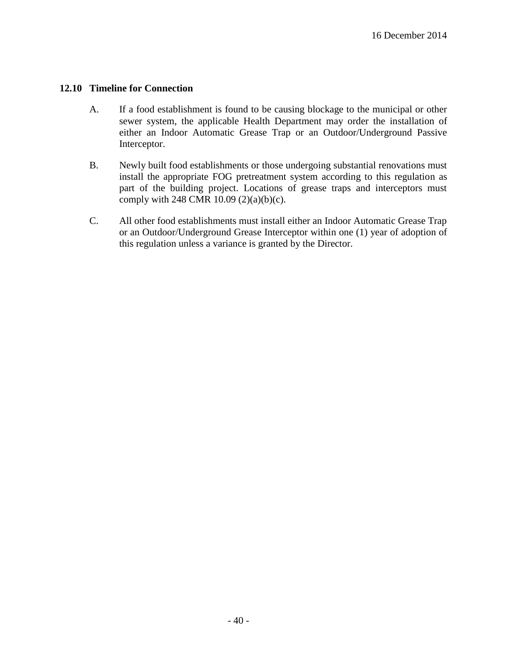### **12.10 Timeline for Connection**

- A. If a food establishment is found to be causing blockage to the municipal or other sewer system, the applicable Health Department may order the installation of either an Indoor Automatic Grease Trap or an Outdoor/Underground Passive Interceptor.
- B. Newly built food establishments or those undergoing substantial renovations must install the appropriate FOG pretreatment system according to this regulation as part of the building project. Locations of grease traps and interceptors must comply with 248 CMR 10.09 (2)(a)(b)(c).
- C. All other food establishments must install either an Indoor Automatic Grease Trap or an Outdoor/Underground Grease Interceptor within one (1) year of adoption of this regulation unless a variance is granted by the Director.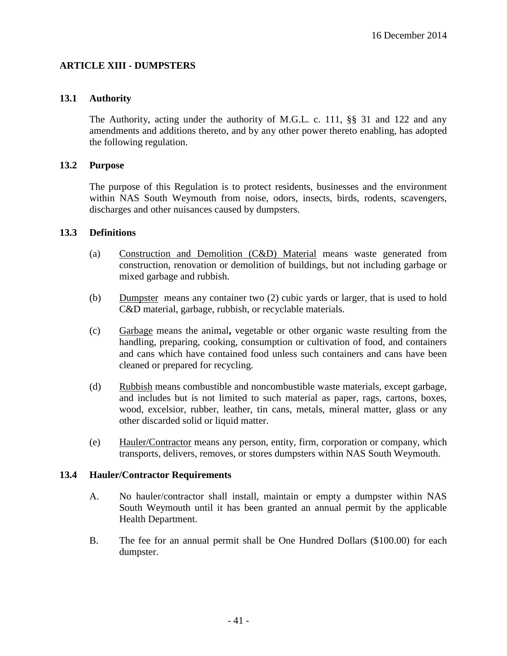## **ARTICLE XIII - DUMPSTERS**

### **13.1 Authority**

The Authority, acting under the authority of M.G.L. c. 111, §§ 31 and 122 and any amendments and additions thereto, and by any other power thereto enabling, has adopted the following regulation.

#### **13.2 Purpose**

The purpose of this Regulation is to protect residents, businesses and the environment within NAS South Weymouth from noise, odors, insects, birds, rodents, scavengers, discharges and other nuisances caused by dumpsters.

#### **13.3 Definitions**

- (a) Construction and Demolition (C&D) Material means waste generated from construction, renovation or demolition of buildings, but not including garbage or mixed garbage and rubbish.
- (b) Dumpster means any container two (2) cubic yards or larger, that is used to hold C&D material, garbage, rubbish, or recyclable materials.
- (c) Garbage means the animal**,** vegetable or other organic waste resulting from the handling, preparing, cooking, consumption or cultivation of food, and containers and cans which have contained food unless such containers and cans have been cleaned or prepared for recycling.
- (d) Rubbish means combustible and noncombustible waste materials, except garbage, and includes but is not limited to such material as paper, rags, cartons, boxes, wood, excelsior, rubber, leather, tin cans, metals, mineral matter, glass or any other discarded solid or liquid matter.
- (e) Hauler/Contractor means any person, entity, firm, corporation or company, which transports, delivers, removes, or stores dumpsters within NAS South Weymouth.

#### **13.4 Hauler/Contractor Requirements**

- A. No hauler/contractor shall install, maintain or empty a dumpster within NAS South Weymouth until it has been granted an annual permit by the applicable Health Department.
- B. The fee for an annual permit shall be One Hundred Dollars (\$100.00) for each dumpster.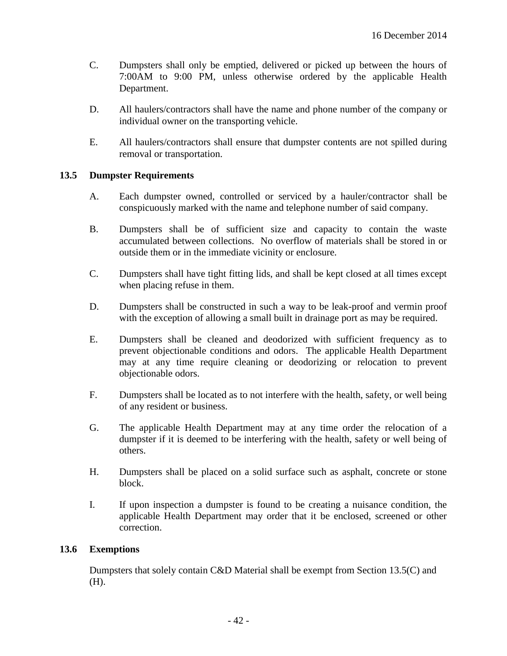- C. Dumpsters shall only be emptied, delivered or picked up between the hours of 7:00AM to 9:00 PM, unless otherwise ordered by the applicable Health Department.
- D. All haulers/contractors shall have the name and phone number of the company or individual owner on the transporting vehicle.
- E. All haulers/contractors shall ensure that dumpster contents are not spilled during removal or transportation.

### **13.5 Dumpster Requirements**

- A. Each dumpster owned, controlled or serviced by a hauler/contractor shall be conspicuously marked with the name and telephone number of said company.
- B. Dumpsters shall be of sufficient size and capacity to contain the waste accumulated between collections. No overflow of materials shall be stored in or outside them or in the immediate vicinity or enclosure.
- C. Dumpsters shall have tight fitting lids, and shall be kept closed at all times except when placing refuse in them.
- D. Dumpsters shall be constructed in such a way to be leak-proof and vermin proof with the exception of allowing a small built in drainage port as may be required.
- E. Dumpsters shall be cleaned and deodorized with sufficient frequency as to prevent objectionable conditions and odors. The applicable Health Department may at any time require cleaning or deodorizing or relocation to prevent objectionable odors.
- F. Dumpsters shall be located as to not interfere with the health, safety, or well being of any resident or business.
- G. The applicable Health Department may at any time order the relocation of a dumpster if it is deemed to be interfering with the health, safety or well being of others.
- H. Dumpsters shall be placed on a solid surface such as asphalt, concrete or stone block.
- I. If upon inspection a dumpster is found to be creating a nuisance condition, the applicable Health Department may order that it be enclosed, screened or other correction.

#### **13.6 Exemptions**

Dumpsters that solely contain C&D Material shall be exempt from Section 13.5(C) and (H).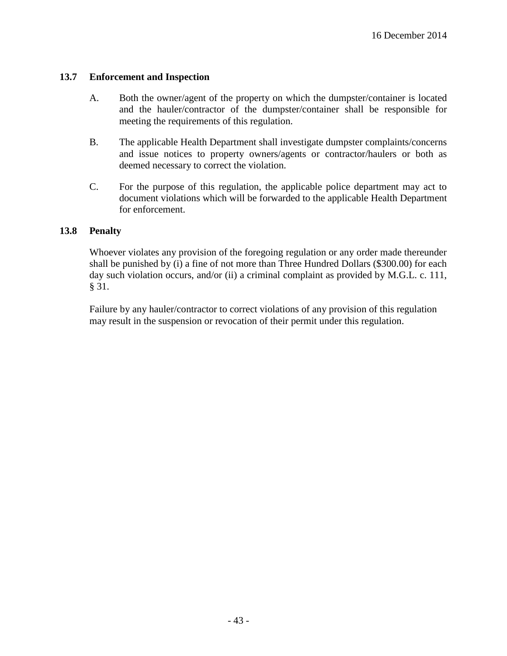## **13.7 Enforcement and Inspection**

- A. Both the owner/agent of the property on which the dumpster/container is located and the hauler/contractor of the dumpster/container shall be responsible for meeting the requirements of this regulation.
- B. The applicable Health Department shall investigate dumpster complaints/concerns and issue notices to property owners/agents or contractor/haulers or both as deemed necessary to correct the violation.
- C. For the purpose of this regulation, the applicable police department may act to document violations which will be forwarded to the applicable Health Department for enforcement.

### **13.8 Penalty**

Whoever violates any provision of the foregoing regulation or any order made thereunder shall be punished by (i) a fine of not more than Three Hundred Dollars (\$300.00) for each day such violation occurs, and/or (ii) a criminal complaint as provided by M.G.L. c. 111, § 31.

Failure by any hauler/contractor to correct violations of any provision of this regulation may result in the suspension or revocation of their permit under this regulation.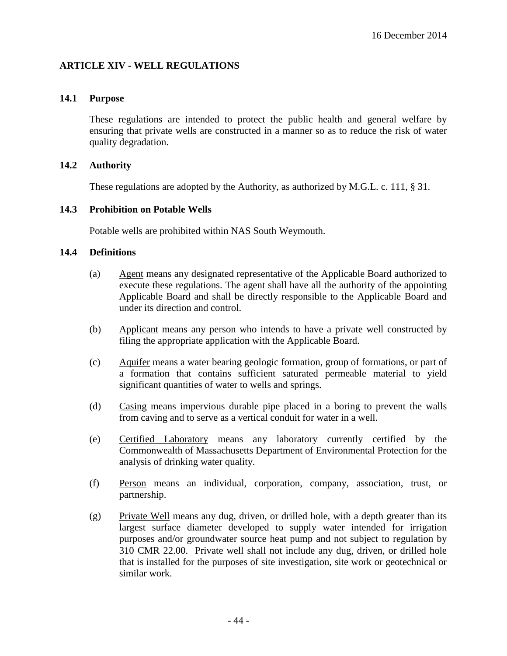## **ARTICLE XIV - WELL REGULATIONS**

### **14.1 Purpose**

These regulations are intended to protect the public health and general welfare by ensuring that private wells are constructed in a manner so as to reduce the risk of water quality degradation.

### **14.2 Authority**

These regulations are adopted by the Authority, as authorized by M.G.L. c. 111, § 31.

### **14.3 Prohibition on Potable Wells**

Potable wells are prohibited within NAS South Weymouth.

### **14.4 Definitions**

- (a) Agent means any designated representative of the Applicable Board authorized to execute these regulations. The agent shall have all the authority of the appointing Applicable Board and shall be directly responsible to the Applicable Board and under its direction and control.
- (b) Applicant means any person who intends to have a private well constructed by filing the appropriate application with the Applicable Board.
- (c) Aquifer means a water bearing geologic formation, group of formations, or part of a formation that contains sufficient saturated permeable material to yield significant quantities of water to wells and springs.
- (d) Casing means impervious durable pipe placed in a boring to prevent the walls from caving and to serve as a vertical conduit for water in a well.
- (e) Certified Laboratory means any laboratory currently certified by the Commonwealth of Massachusetts Department of Environmental Protection for the analysis of drinking water quality.
- (f) Person means an individual, corporation, company, association, trust, or partnership.
- (g) Private Well means any dug, driven, or drilled hole, with a depth greater than its largest surface diameter developed to supply water intended for irrigation purposes and/or groundwater source heat pump and not subject to regulation by 310 CMR 22.00. Private well shall not include any dug, driven, or drilled hole that is installed for the purposes of site investigation, site work or geotechnical or similar work.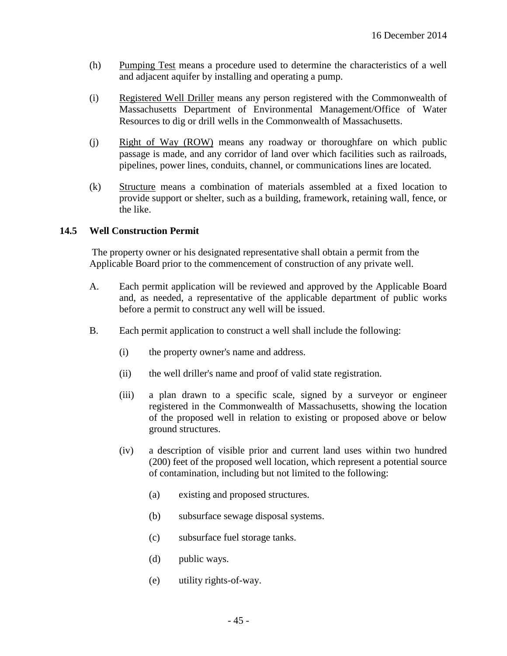- (h) Pumping Test means a procedure used to determine the characteristics of a well and adjacent aquifer by installing and operating a pump.
- (i) Registered Well Driller means any person registered with the Commonwealth of Massachusetts Department of Environmental Management/Office of Water Resources to dig or drill wells in the Commonwealth of Massachusetts.
- (j) Right of Way (ROW) means any roadway or thoroughfare on which public passage is made, and any corridor of land over which facilities such as railroads, pipelines, power lines, conduits, channel, or communications lines are located.
- (k) Structure means a combination of materials assembled at a fixed location to provide support or shelter, such as a building, framework, retaining wall, fence, or the like.

## **14.5 Well Construction Permit**

The property owner or his designated representative shall obtain a permit from the Applicable Board prior to the commencement of construction of any private well.

- A. Each permit application will be reviewed and approved by the Applicable Board and, as needed, a representative of the applicable department of public works before a permit to construct any well will be issued.
- B. Each permit application to construct a well shall include the following:
	- (i) the property owner's name and address.
	- (ii) the well driller's name and proof of valid state registration.
	- (iii) a plan drawn to a specific scale, signed by a surveyor or engineer registered in the Commonwealth of Massachusetts, showing the location of the proposed well in relation to existing or proposed above or below ground structures.
	- (iv) a description of visible prior and current land uses within two hundred (200) feet of the proposed well location, which represent a potential source of contamination, including but not limited to the following:
		- (a) existing and proposed structures.
		- (b) subsurface sewage disposal systems.
		- (c) subsurface fuel storage tanks.
		- (d) public ways.
		- (e) utility rights-of-way.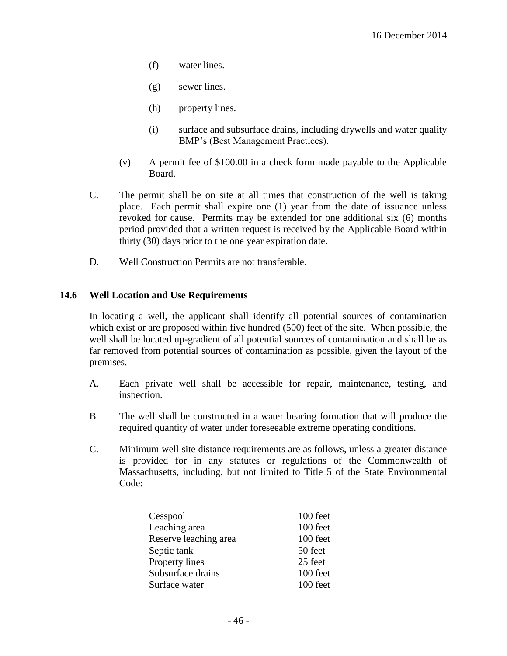- (f) water lines.
- (g) sewer lines.
- (h) property lines.
- (i) surface and subsurface drains, including drywells and water quality BMP's (Best Management Practices).
- (v) A permit fee of \$100.00 in a check form made payable to the Applicable Board.
- C. The permit shall be on site at all times that construction of the well is taking place. Each permit shall expire one (1) year from the date of issuance unless revoked for cause. Permits may be extended for one additional six (6) months period provided that a written request is received by the Applicable Board within thirty (30) days prior to the one year expiration date.
- D. Well Construction Permits are not transferable.

### **14.6 Well Location and Use Requirements**

In locating a well, the applicant shall identify all potential sources of contamination which exist or are proposed within five hundred (500) feet of the site. When possible, the well shall be located up-gradient of all potential sources of contamination and shall be as far removed from potential sources of contamination as possible, given the layout of the premises.

- A. Each private well shall be accessible for repair, maintenance, testing, and inspection.
- B. The well shall be constructed in a water bearing formation that will produce the required quantity of water under foreseeable extreme operating conditions.
- C. Minimum well site distance requirements are as follows, unless a greater distance is provided for in any statutes or regulations of the Commonwealth of Massachusetts, including, but not limited to Title 5 of the State Environmental Code:

| Cesspool              | 100 feet |
|-----------------------|----------|
| Leaching area         | 100 feet |
| Reserve leaching area | 100 feet |
| Septic tank           | 50 feet  |
| Property lines        | 25 feet  |
| Subsurface drains     | 100 feet |
| Surface water         | 100 feet |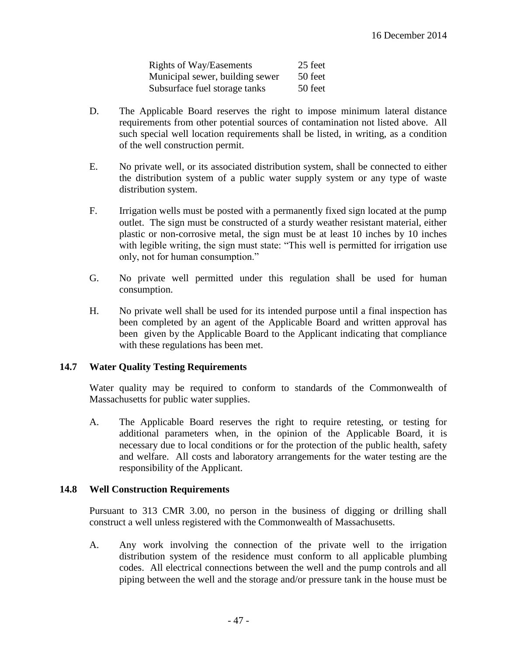| <b>Rights of Way/Easements</b>  | 25 feet |
|---------------------------------|---------|
| Municipal sewer, building sewer | 50 feet |
| Subsurface fuel storage tanks   | 50 feet |

- D. The Applicable Board reserves the right to impose minimum lateral distance requirements from other potential sources of contamination not listed above. All such special well location requirements shall be listed, in writing, as a condition of the well construction permit.
- E. No private well, or its associated distribution system, shall be connected to either the distribution system of a public water supply system or any type of waste distribution system.
- F. Irrigation wells must be posted with a permanently fixed sign located at the pump outlet. The sign must be constructed of a sturdy weather resistant material, either plastic or non-corrosive metal, the sign must be at least 10 inches by 10 inches with legible writing, the sign must state: "This well is permitted for irrigation use only, not for human consumption."
- G. No private well permitted under this regulation shall be used for human consumption.
- H. No private well shall be used for its intended purpose until a final inspection has been completed by an agent of the Applicable Board and written approval has been given by the Applicable Board to the Applicant indicating that compliance with these regulations has been met.

## **14.7 Water Quality Testing Requirements**

Water quality may be required to conform to standards of the Commonwealth of Massachusetts for public water supplies.

A. The Applicable Board reserves the right to require retesting, or testing for additional parameters when, in the opinion of the Applicable Board, it is necessary due to local conditions or for the protection of the public health, safety and welfare. All costs and laboratory arrangements for the water testing are the responsibility of the Applicant.

#### **14.8 Well Construction Requirements**

Pursuant to 313 CMR 3.00, no person in the business of digging or drilling shall construct a well unless registered with the Commonwealth of Massachusetts.

A. Any work involving the connection of the private well to the irrigation distribution system of the residence must conform to all applicable plumbing codes. All electrical connections between the well and the pump controls and all piping between the well and the storage and/or pressure tank in the house must be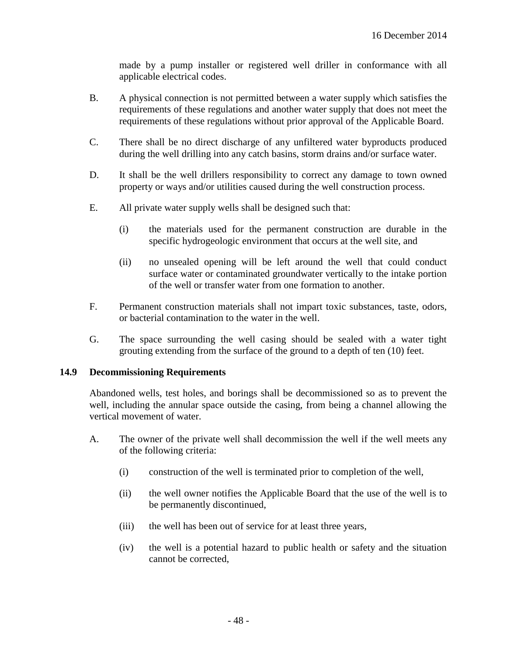made by a pump installer or registered well driller in conformance with all applicable electrical codes.

- B. A physical connection is not permitted between a water supply which satisfies the requirements of these regulations and another water supply that does not meet the requirements of these regulations without prior approval of the Applicable Board.
- C. There shall be no direct discharge of any unfiltered water byproducts produced during the well drilling into any catch basins, storm drains and/or surface water.
- D. It shall be the well drillers responsibility to correct any damage to town owned property or ways and/or utilities caused during the well construction process.
- E. All private water supply wells shall be designed such that:
	- (i) the materials used for the permanent construction are durable in the specific hydrogeologic environment that occurs at the well site, and
	- (ii) no unsealed opening will be left around the well that could conduct surface water or contaminated groundwater vertically to the intake portion of the well or transfer water from one formation to another.
- F. Permanent construction materials shall not impart toxic substances, taste, odors, or bacterial contamination to the water in the well.
- G. The space surrounding the well casing should be sealed with a water tight grouting extending from the surface of the ground to a depth of ten (10) feet.

#### **14.9 Decommissioning Requirements**

Abandoned wells, test holes, and borings shall be decommissioned so as to prevent the well, including the annular space outside the casing, from being a channel allowing the vertical movement of water.

- A. The owner of the private well shall decommission the well if the well meets any of the following criteria:
	- (i) construction of the well is terminated prior to completion of the well,
	- (ii) the well owner notifies the Applicable Board that the use of the well is to be permanently discontinued,
	- (iii) the well has been out of service for at least three years,
	- (iv) the well is a potential hazard to public health or safety and the situation cannot be corrected,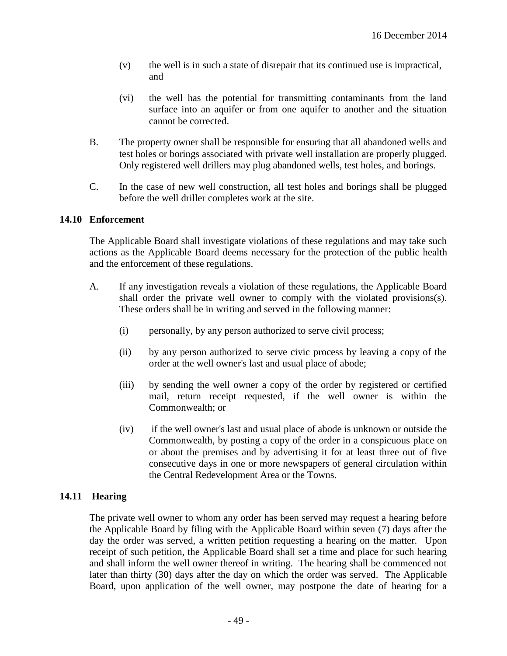- (v) the well is in such a state of disrepair that its continued use is impractical, and
- (vi) the well has the potential for transmitting contaminants from the land surface into an aquifer or from one aquifer to another and the situation cannot be corrected.
- B. The property owner shall be responsible for ensuring that all abandoned wells and test holes or borings associated with private well installation are properly plugged. Only registered well drillers may plug abandoned wells, test holes, and borings.
- C. In the case of new well construction, all test holes and borings shall be plugged before the well driller completes work at the site.

### **14.10 Enforcement**

The Applicable Board shall investigate violations of these regulations and may take such actions as the Applicable Board deems necessary for the protection of the public health and the enforcement of these regulations.

- A. If any investigation reveals a violation of these regulations, the Applicable Board shall order the private well owner to comply with the violated provisions(s). These orders shall be in writing and served in the following manner:
	- (i) personally, by any person authorized to serve civil process;
	- (ii) by any person authorized to serve civic process by leaving a copy of the order at the well owner's last and usual place of abode;
	- (iii) by sending the well owner a copy of the order by registered or certified mail, return receipt requested, if the well owner is within the Commonwealth; or
	- (iv) if the well owner's last and usual place of abode is unknown or outside the Commonwealth, by posting a copy of the order in a conspicuous place on or about the premises and by advertising it for at least three out of five consecutive days in one or more newspapers of general circulation within the Central Redevelopment Area or the Towns.

## **14.11 Hearing**

The private well owner to whom any order has been served may request a hearing before the Applicable Board by filing with the Applicable Board within seven (7) days after the day the order was served, a written petition requesting a hearing on the matter. Upon receipt of such petition, the Applicable Board shall set a time and place for such hearing and shall inform the well owner thereof in writing. The hearing shall be commenced not later than thirty (30) days after the day on which the order was served. The Applicable Board, upon application of the well owner, may postpone the date of hearing for a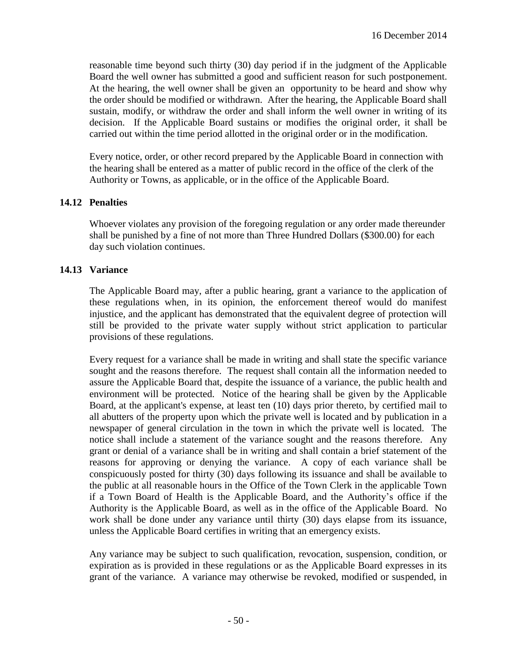reasonable time beyond such thirty (30) day period if in the judgment of the Applicable Board the well owner has submitted a good and sufficient reason for such postponement. At the hearing, the well owner shall be given an opportunity to be heard and show why the order should be modified or withdrawn. After the hearing, the Applicable Board shall sustain, modify, or withdraw the order and shall inform the well owner in writing of its decision. If the Applicable Board sustains or modifies the original order, it shall be carried out within the time period allotted in the original order or in the modification.

Every notice, order, or other record prepared by the Applicable Board in connection with the hearing shall be entered as a matter of public record in the office of the clerk of the Authority or Towns, as applicable, or in the office of the Applicable Board.

### **14.12 Penalties**

Whoever violates any provision of the foregoing regulation or any order made thereunder shall be punished by a fine of not more than Three Hundred Dollars (\$300.00) for each day such violation continues.

### **14.13 Variance**

The Applicable Board may, after a public hearing, grant a variance to the application of these regulations when, in its opinion, the enforcement thereof would do manifest injustice, and the applicant has demonstrated that the equivalent degree of protection will still be provided to the private water supply without strict application to particular provisions of these regulations.

Every request for a variance shall be made in writing and shall state the specific variance sought and the reasons therefore. The request shall contain all the information needed to assure the Applicable Board that, despite the issuance of a variance, the public health and environment will be protected. Notice of the hearing shall be given by the Applicable Board, at the applicant's expense, at least ten (10) days prior thereto, by certified mail to all abutters of the property upon which the private well is located and by publication in a newspaper of general circulation in the town in which the private well is located. The notice shall include a statement of the variance sought and the reasons therefore. Any grant or denial of a variance shall be in writing and shall contain a brief statement of the reasons for approving or denying the variance. A copy of each variance shall be conspicuously posted for thirty (30) days following its issuance and shall be available to the public at all reasonable hours in the Office of the Town Clerk in the applicable Town if a Town Board of Health is the Applicable Board, and the Authority's office if the Authority is the Applicable Board, as well as in the office of the Applicable Board. No work shall be done under any variance until thirty (30) days elapse from its issuance, unless the Applicable Board certifies in writing that an emergency exists.

Any variance may be subject to such qualification, revocation, suspension, condition, or expiration as is provided in these regulations or as the Applicable Board expresses in its grant of the variance. A variance may otherwise be revoked, modified or suspended, in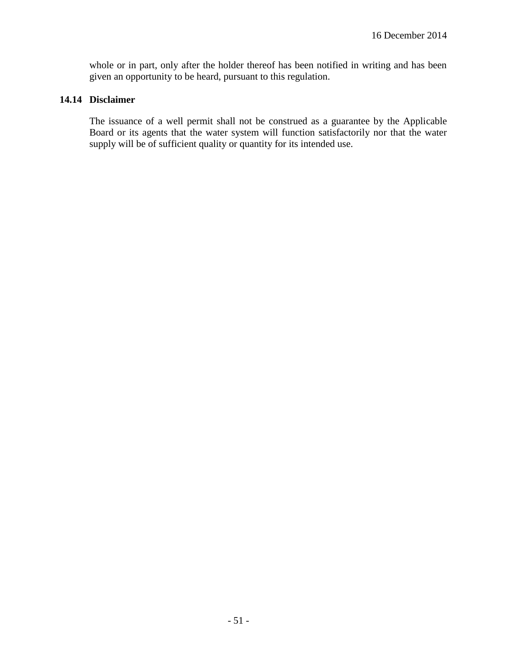whole or in part, only after the holder thereof has been notified in writing and has been given an opportunity to be heard, pursuant to this regulation.

## **14.14 Disclaimer**

The issuance of a well permit shall not be construed as a guarantee by the Applicable Board or its agents that the water system will function satisfactorily nor that the water supply will be of sufficient quality or quantity for its intended use.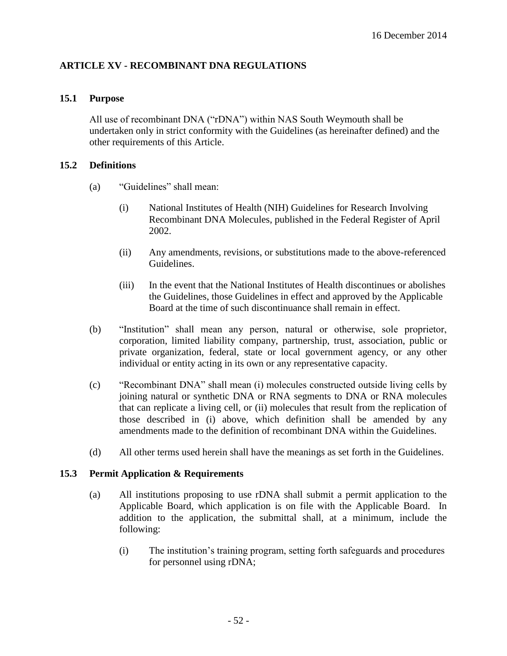## **ARTICLE XV - RECOMBINANT DNA REGULATIONS**

### **15.1 Purpose**

All use of recombinant DNA ("rDNA") within NAS South Weymouth shall be undertaken only in strict conformity with the Guidelines (as hereinafter defined) and the other requirements of this Article.

### **15.2 Definitions**

- (a) "Guidelines" shall mean:
	- (i) National Institutes of Health (NIH) Guidelines for Research Involving Recombinant DNA Molecules, published in the Federal Register of April 2002.
	- (ii) Any amendments, revisions, or substitutions made to the above-referenced Guidelines.
	- (iii) In the event that the National Institutes of Health discontinues or abolishes the Guidelines, those Guidelines in effect and approved by the Applicable Board at the time of such discontinuance shall remain in effect.
- (b) "Institution" shall mean any person, natural or otherwise, sole proprietor, corporation, limited liability company, partnership, trust, association, public or private organization, federal, state or local government agency, or any other individual or entity acting in its own or any representative capacity.
- (c) "Recombinant DNA" shall mean (i) molecules constructed outside living cells by joining natural or synthetic DNA or RNA segments to DNA or RNA molecules that can replicate a living cell, or (ii) molecules that result from the replication of those described in (i) above, which definition shall be amended by any amendments made to the definition of recombinant DNA within the Guidelines.
- (d) All other terms used herein shall have the meanings as set forth in the Guidelines.

## **15.3 Permit Application & Requirements**

- (a) All institutions proposing to use rDNA shall submit a permit application to the Applicable Board, which application is on file with the Applicable Board. In addition to the application, the submittal shall, at a minimum, include the following:
	- (i) The institution's training program, setting forth safeguards and procedures for personnel using rDNA;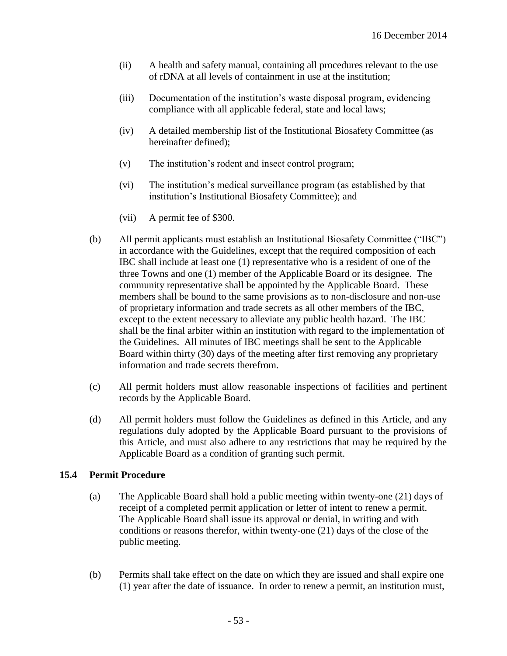- (ii) A health and safety manual, containing all procedures relevant to the use of rDNA at all levels of containment in use at the institution;
- (iii) Documentation of the institution's waste disposal program, evidencing compliance with all applicable federal, state and local laws;
- (iv) A detailed membership list of the Institutional Biosafety Committee (as hereinafter defined);
- (v) The institution's rodent and insect control program;
- (vi) The institution's medical surveillance program (as established by that institution's Institutional Biosafety Committee); and
- (vii) A permit fee of \$300.
- (b) All permit applicants must establish an Institutional Biosafety Committee ("IBC") in accordance with the Guidelines, except that the required composition of each IBC shall include at least one (1) representative who is a resident of one of the three Towns and one (1) member of the Applicable Board or its designee. The community representative shall be appointed by the Applicable Board. These members shall be bound to the same provisions as to non-disclosure and non-use of proprietary information and trade secrets as all other members of the IBC, except to the extent necessary to alleviate any public health hazard. The IBC shall be the final arbiter within an institution with regard to the implementation of the Guidelines. All minutes of IBC meetings shall be sent to the Applicable Board within thirty (30) days of the meeting after first removing any proprietary information and trade secrets therefrom.
- (c) All permit holders must allow reasonable inspections of facilities and pertinent records by the Applicable Board.
- (d) All permit holders must follow the Guidelines as defined in this Article, and any regulations duly adopted by the Applicable Board pursuant to the provisions of this Article, and must also adhere to any restrictions that may be required by the Applicable Board as a condition of granting such permit.

## **15.4 Permit Procedure**

- (a) The Applicable Board shall hold a public meeting within twenty-one (21) days of receipt of a completed permit application or letter of intent to renew a permit. The Applicable Board shall issue its approval or denial, in writing and with conditions or reasons therefor, within twenty-one (21) days of the close of the public meeting.
- (b) Permits shall take effect on the date on which they are issued and shall expire one (1) year after the date of issuance. In order to renew a permit, an institution must,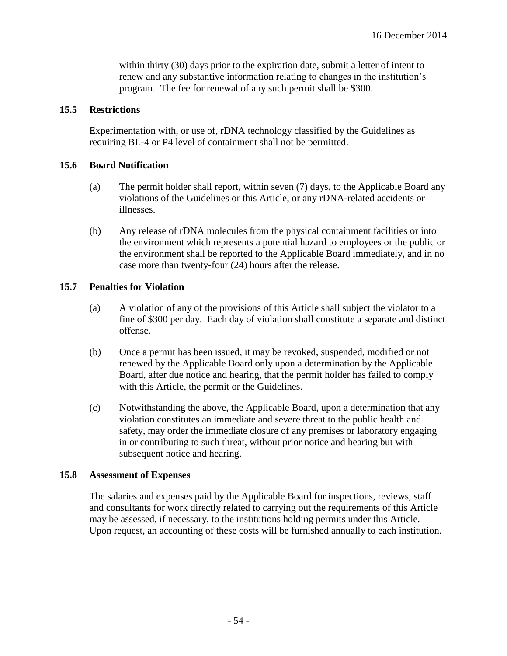within thirty (30) days prior to the expiration date, submit a letter of intent to renew and any substantive information relating to changes in the institution's program. The fee for renewal of any such permit shall be \$300.

### **15.5 Restrictions**

Experimentation with, or use of, rDNA technology classified by the Guidelines as requiring BL-4 or P4 level of containment shall not be permitted.

### **15.6 Board Notification**

- (a) The permit holder shall report, within seven (7) days, to the Applicable Board any violations of the Guidelines or this Article, or any rDNA-related accidents or illnesses.
- (b) Any release of rDNA molecules from the physical containment facilities or into the environment which represents a potential hazard to employees or the public or the environment shall be reported to the Applicable Board immediately, and in no case more than twenty-four (24) hours after the release.

### **15.7 Penalties for Violation**

- (a) A violation of any of the provisions of this Article shall subject the violator to a fine of \$300 per day. Each day of violation shall constitute a separate and distinct offense.
- (b) Once a permit has been issued, it may be revoked, suspended, modified or not renewed by the Applicable Board only upon a determination by the Applicable Board, after due notice and hearing, that the permit holder has failed to comply with this Article, the permit or the Guidelines.
- (c) Notwithstanding the above, the Applicable Board, upon a determination that any violation constitutes an immediate and severe threat to the public health and safety, may order the immediate closure of any premises or laboratory engaging in or contributing to such threat, without prior notice and hearing but with subsequent notice and hearing.

#### **15.8 Assessment of Expenses**

The salaries and expenses paid by the Applicable Board for inspections, reviews, staff and consultants for work directly related to carrying out the requirements of this Article may be assessed, if necessary, to the institutions holding permits under this Article. Upon request, an accounting of these costs will be furnished annually to each institution.